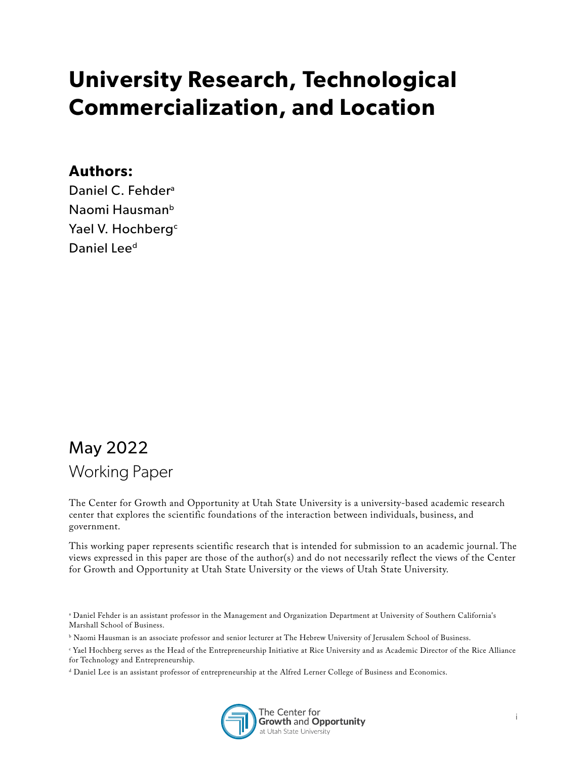# **University Research, Technological Commercialization, and Location**

#### **Authors:**

Daniel C. Fehder<sup>a</sup> Naomi Hausman<sup>b</sup> Yael V. Hochberg<sup>c</sup> Daniel Lee<sup>d</sup>

# May 2022 Working Paper

The Center for Growth and Opportunity at Utah State University is a university-based academic research center that explores the scientific foundations of the interaction between individuals, business, and government.

This working paper represents scientific research that is intended for submission to an academic journal. The views expressed in this paper are those of the author(s) and do not necessarily reflect the views of the Center for Growth and Opportunity at Utah State University or the views of Utah State University.

d Daniel Lee is an assistant professor of entrepreneurship at the Alfred Lerner College of Business and Economics.



a Daniel Fehder is an assistant professor in the Management and Organization Department at University of Southern California's Marshall School of Business.

b Naomi Hausman is an associate professor and senior lecturer at The Hebrew University of Jerusalem School of Business.

c Yael Hochberg serves as the Head of the Entrepreneurship Initiative at Rice University and as Academic Director of the Rice Alliance for Technology and Entrepreneurship.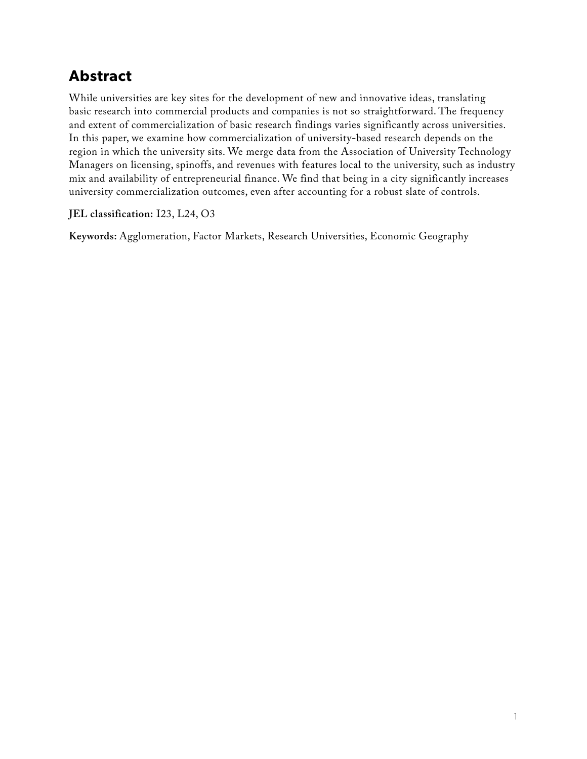## **Abstract**

While universities are key sites for the development of new and innovative ideas, translating basic research into commercial products and companies is not so straightforward. The frequency and extent of commercialization of basic research findings varies significantly across universities. In this paper, we examine how commercialization of university-based research depends on the region in which the university sits. We merge data from the Association of University Technology Managers on licensing, spinoffs, and revenues with features local to the university, such as industry mix and availability of entrepreneurial finance. We find that being in a city significantly increases university commercialization outcomes, even after accounting for a robust slate of controls.

**JEL classification:** I23, L24, O3

**Keywords:** Agglomeration, Factor Markets, Research Universities, Economic Geography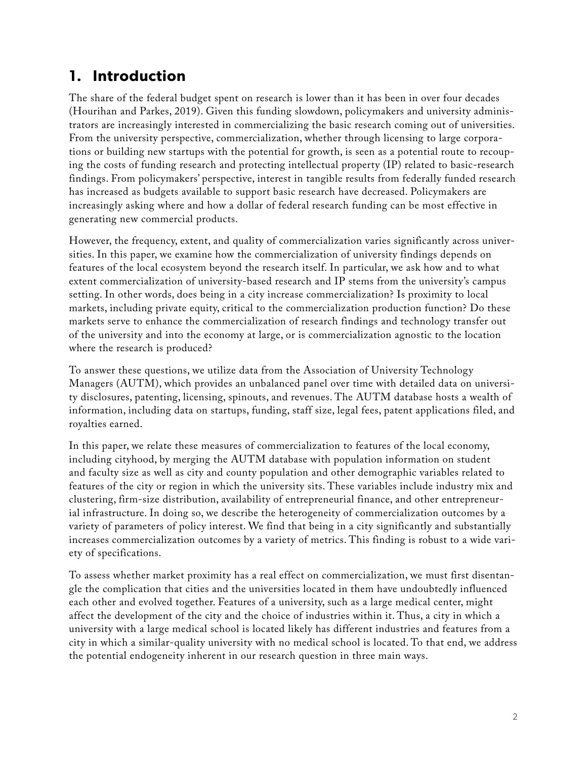## **1. Introduction**

The share of the federal budget spent on research is lower than it has been in over four decades (Hourihan and Parkes, 2019). Given this funding slowdown, policymakers and university administrators are increasingly interested in commercializing the basic research coming out of universities. From the university perspective, commercialization, whether through licensing to large corporations or building new startups with the potential for growth, is seen as a potential route to recouping the costs of funding research and protecting intellectual property (IP) related to basic-research findings. From policymakers' perspective, interest in tangible results from federally funded research has increased as budgets available to support basic research have decreased. Policymakers are increasingly asking where and how a dollar of federal research funding can be most effective in generating new commercial products.

However, the frequency, extent, and quality of commercialization varies significantly across universities. In this paper, we examine how the commercialization of university findings depends on features of the local ecosystem beyond the research itself. In particular, we ask how and to what extent commercialization of university-based research and IP stems from the university's campus setting. In other words, does being in a city increase commercialization? Is proximity to local markets, including private equity, critical to the commercialization production function? Do these markets serve to enhance the commercialization of research findings and technology transfer out of the university and into the economy at large, or is commercialization agnostic to the location where the research is produced?

To answer these questions, we utilize data from the Association of University Technology Managers (AUTM), which provides an unbalanced panel over time with detailed data on university disclosures, patenting, licensing, spinouts, and revenues. The AUTM database hosts a wealth of information, including data on startups, funding, staff size, legal fees, patent applications filed, and royalties earned.

In this paper, we relate these measures of commercialization to features of the local economy, including cityhood, by merging the AUTM database with population information on student and faculty size as well as city and county population and other demographic variables related to features of the city or region in which the university sits. These variables include industry mix and clustering, firm-size distribution, availability of entrepreneurial finance, and other entrepreneurial infrastructure. In doing so, we describe the heterogeneity of commercialization outcomes by a variety of parameters of policy interest. We find that being in a city significantly and substantially increases commercialization outcomes by a variety of metrics. This finding is robust to a wide variety of specifications.

To assess whether market proximity has a real effect on commercialization, we must first disentangle the complication that cities and the universities located in them have undoubtedly influenced each other and evolved together. Features of a university, such as a large medical center, might affect the development of the city and the choice of industries within it. Thus, a city in which a university with a large medical school is located likely has different industries and features from a city in which a similar-quality university with no medical school is located. To that end, we address the potential endogeneity inherent in our research question in three main ways.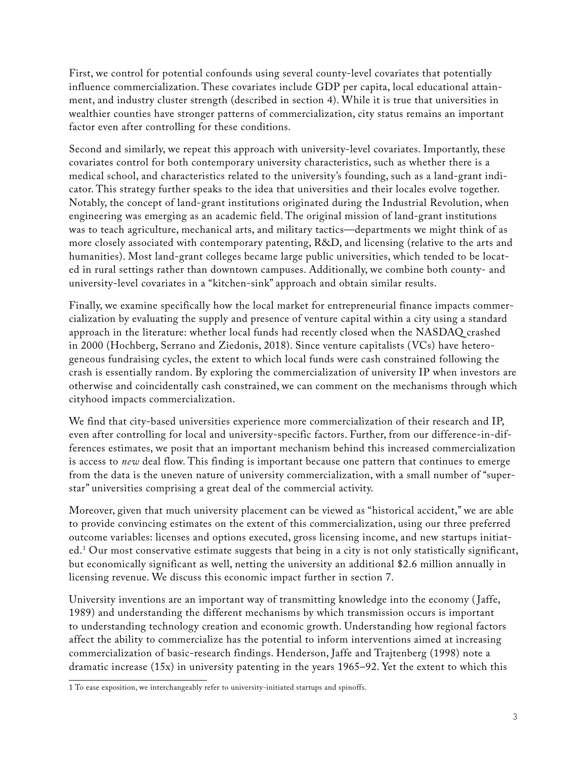First, we control for potential confounds using several county-level covariates that potentially influence commercialization. These covariates include GDP per capita, local educational attainment, and industry cluster strength (described in section 4). While it is true that universities in wealthier counties have stronger patterns of commercialization, city status remains an important factor even after controlling for these conditions.

Second and similarly, we repeat this approach with university-level covariates. Importantly, these covariates control for both contemporary university characteristics, such as whether there is a medical school, and characteristics related to the university's founding, such as a land-grant indicator. This strategy further speaks to the idea that universities and their locales evolve together. Notably, the concept of land-grant institutions originated during the Industrial Revolution, when engineering was emerging as an academic field. The original mission of land-grant institutions was to teach agriculture, mechanical arts, and military tactics—departments we might think of as more closely associated with contemporary patenting, R&D, and licensing (relative to the arts and humanities). Most land-grant colleges became large public universities, which tended to be located in rural settings rather than downtown campuses. Additionally, we combine both county- and university-level covariates in a "kitchen-sink" approach and obtain similar results.

Finally, we examine specifically how the local market for entrepreneurial finance impacts commercialization by evaluating the supply and presence of venture capital within a city using a standard approach in the literature: whether local funds had recently closed when the NASDAQ crashed in 2000 (Hochberg, Serrano and Ziedonis, 2018). Since venture capitalists (VCs) have heterogeneous fundraising cycles, the extent to which local funds were cash constrained following the crash is essentially random. By exploring the commercialization of university IP when investors are otherwise and coincidentally cash constrained, we can comment on the mechanisms through which cityhood impacts commercialization.

We find that city-based universities experience more commercialization of their research and IP, even after controlling for local and university-specific factors. Further, from our difference-in-differences estimates, we posit that an important mechanism behind this increased commercialization is access to *new* deal flow. This finding is important because one pattern that continues to emerge from the data is the uneven nature of university commercialization, with a small number of "superstar" universities comprising a great deal of the commercial activity.

Moreover, given that much university placement can be viewed as "historical accident," we are able to provide convincing estimates on the extent of this commercialization, using our three preferred outcome variables: licenses and options executed, gross licensing income, and new startups initiated.1 Our most conservative estimate suggests that being in a city is not only statistically significant, but economically significant as well, netting the university an additional \$2.6 million annually in licensing revenue. We discuss this economic impact further in section 7.

University inventions are an important way of transmitting knowledge into the economy ( Jaffe, 1989) and understanding the different mechanisms by which transmission occurs is important to understanding technology creation and economic growth. Understanding how regional factors affect the ability to commercialize has the potential to inform interventions aimed at increasing commercialization of basic-research findings. Henderson, Jaffe and Trajtenberg (1998) note a dramatic increase (15x) in university patenting in the years 1965–92. Yet the extent to which this

<sup>1</sup> To ease exposition, we interchangeably refer to university-initiated startups and spinoffs.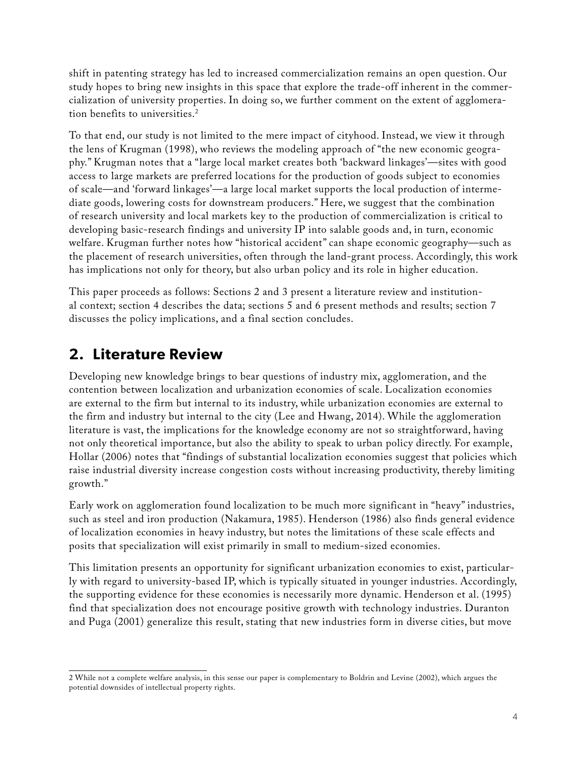shift in patenting strategy has led to increased commercialization remains an open question. Our study hopes to bring new insights in this space that explore the trade-off inherent in the commercialization of university properties. In doing so, we further comment on the extent of agglomeration benefits to universities.<sup>2</sup>

To that end, our study is not limited to the mere impact of cityhood. Instead, we view it through the lens of Krugman (1998), who reviews the modeling approach of "the new economic geography." Krugman notes that a "large local market creates both 'backward linkages'—sites with good access to large markets are preferred locations for the production of goods subject to economies of scale—and 'forward linkages'—a large local market supports the local production of intermediate goods, lowering costs for downstream producers." Here, we suggest that the combination of research university and local markets key to the production of commercialization is critical to developing basic-research findings and university IP into salable goods and, in turn, economic welfare. Krugman further notes how "historical accident" can shape economic geography—such as the placement of research universities, often through the land-grant process. Accordingly, this work has implications not only for theory, but also urban policy and its role in higher education.

This paper proceeds as follows: Sections 2 and 3 present a literature review and institutional context; section 4 describes the data; sections 5 and 6 present methods and results; section 7 discusses the policy implications, and a final section concludes.

#### **2. Literature Review**

Developing new knowledge brings to bear questions of industry mix, agglomeration, and the contention between localization and urbanization economies of scale. Localization economies are external to the firm but internal to its industry, while urbanization economies are external to the firm and industry but internal to the city (Lee and Hwang, 2014). While the agglomeration literature is vast, the implications for the knowledge economy are not so straightforward, having not only theoretical importance, but also the ability to speak to urban policy directly. For example, Hollar (2006) notes that "findings of substantial localization economies suggest that policies which raise industrial diversity increase congestion costs without increasing productivity, thereby limiting growth."

Early work on agglomeration found localization to be much more significant in "heavy" industries, such as steel and iron production (Nakamura, 1985). Henderson (1986) also finds general evidence of localization economies in heavy industry, but notes the limitations of these scale effects and posits that specialization will exist primarily in small to medium-sized economies.

This limitation presents an opportunity for significant urbanization economies to exist, particularly with regard to university-based IP, which is typically situated in younger industries. Accordingly, the supporting evidence for these economies is necessarily more dynamic. Henderson et al. (1995) find that specialization does not encourage positive growth with technology industries. Duranton and Puga (2001) generalize this result, stating that new industries form in diverse cities, but move

<sup>2</sup> While not a complete welfare analysis, in this sense our paper is complementary to Boldrin and Levine (2002), which argues the potential downsides of intellectual property rights.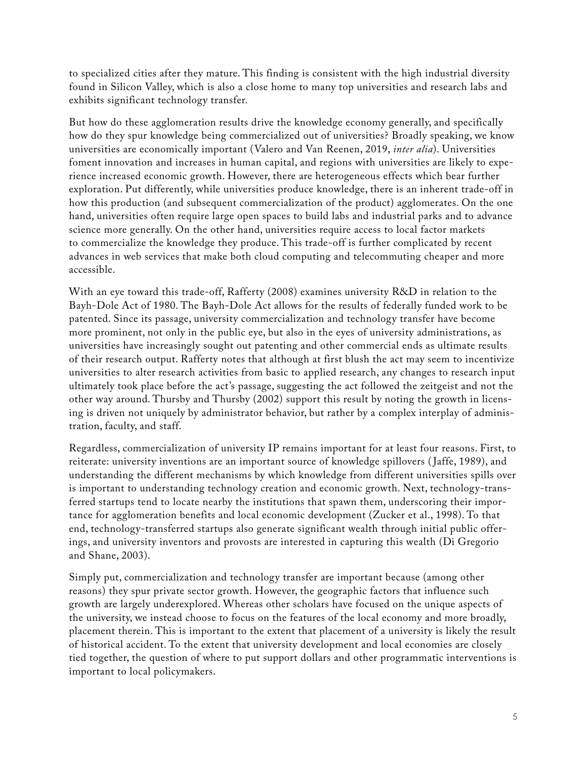to specialized cities after they mature. This finding is consistent with the high industrial diversity found in Silicon Valley, which is also a close home to many top universities and research labs and exhibits significant technology transfer.

But how do these agglomeration results drive the knowledge economy generally, and specifically how do they spur knowledge being commercialized out of universities? Broadly speaking, we know universities are economically important (Valero and Van Reenen, 2019, *inter alia*). Universities foment innovation and increases in human capital, and regions with universities are likely to experience increased economic growth. However, there are heterogeneous effects which bear further exploration. Put differently, while universities produce knowledge, there is an inherent trade-off in how this production (and subsequent commercialization of the product) agglomerates. On the one hand, universities often require large open spaces to build labs and industrial parks and to advance science more generally. On the other hand, universities require access to local factor markets to commercialize the knowledge they produce. This trade-off is further complicated by recent advances in web services that make both cloud computing and telecommuting cheaper and more accessible.

With an eye toward this trade-off, Rafferty (2008) examines university R&D in relation to the Bayh-Dole Act of 1980. The Bayh-Dole Act allows for the results of federally funded work to be patented. Since its passage, university commercialization and technology transfer have become more prominent, not only in the public eye, but also in the eyes of university administrations, as universities have increasingly sought out patenting and other commercial ends as ultimate results of their research output. Rafferty notes that although at first blush the act may seem to incentivize universities to alter research activities from basic to applied research, any changes to research input ultimately took place before the act's passage, suggesting the act followed the zeitgeist and not the other way around. Thursby and Thursby (2002) support this result by noting the growth in licensing is driven not uniquely by administrator behavior, but rather by a complex interplay of administration, faculty, and staff.

Regardless, commercialization of university IP remains important for at least four reasons. First, to reiterate: university inventions are an important source of knowledge spillovers ( Jaffe, 1989), and understanding the different mechanisms by which knowledge from different universities spills over is important to understanding technology creation and economic growth. Next, technology-transferred startups tend to locate nearby the institutions that spawn them, underscoring their importance for agglomeration benefits and local economic development (Zucker et al., 1998). To that end, technology-transferred startups also generate significant wealth through initial public offerings, and university inventors and provosts are interested in capturing this wealth (Di Gregorio and Shane, 2003).

Simply put, commercialization and technology transfer are important because (among other reasons) they spur private sector growth. However, the geographic factors that influence such growth are largely underexplored. Whereas other scholars have focused on the unique aspects of the university, we instead choose to focus on the features of the local economy and more broadly, placement therein. This is important to the extent that placement of a university is likely the result of historical accident. To the extent that university development and local economies are closely tied together, the question of where to put support dollars and other programmatic interventions is important to local policymakers.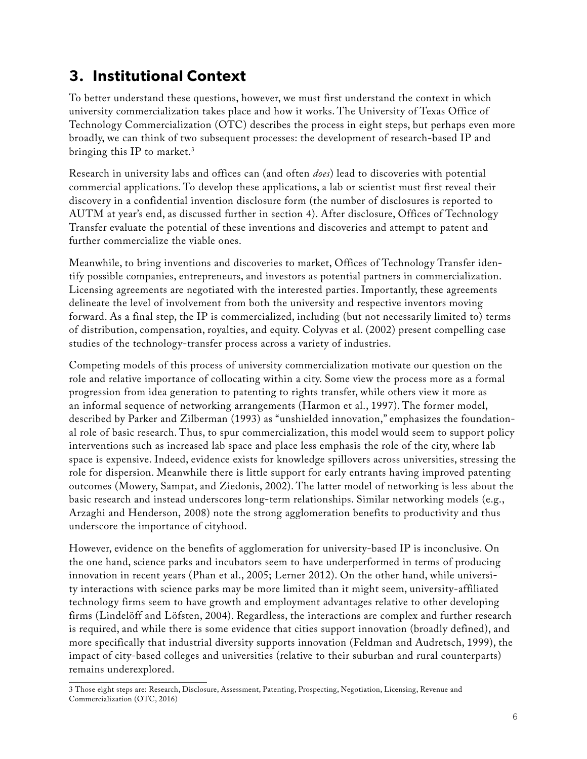## **3. Institutional Context**

To better understand these questions, however, we must first understand the context in which university commercialization takes place and how it works. The University of Texas Office of Technology Commercialization (OTC) describes the process in eight steps, but perhaps even more broadly, we can think of two subsequent processes: the development of research-based IP and bringing this IP to market.3

Research in university labs and offices can (and often *does*) lead to discoveries with potential commercial applications. To develop these applications, a lab or scientist must first reveal their discovery in a confidential invention disclosure form (the number of disclosures is reported to AUTM at year's end, as discussed further in section 4). After disclosure, Offices of Technology Transfer evaluate the potential of these inventions and discoveries and attempt to patent and further commercialize the viable ones.

Meanwhile, to bring inventions and discoveries to market, Offices of Technology Transfer identify possible companies, entrepreneurs, and investors as potential partners in commercialization. Licensing agreements are negotiated with the interested parties. Importantly, these agreements delineate the level of involvement from both the university and respective inventors moving forward. As a final step, the IP is commercialized, including (but not necessarily limited to) terms of distribution, compensation, royalties, and equity. Colyvas et al. (2002) present compelling case studies of the technology-transfer process across a variety of industries.

Competing models of this process of university commercialization motivate our question on the role and relative importance of collocating within a city. Some view the process more as a formal progression from idea generation to patenting to rights transfer, while others view it more as an informal sequence of networking arrangements (Harmon et al., 1997). The former model, described by Parker and Zilberman (1993) as "unshielded innovation," emphasizes the foundational role of basic research. Thus, to spur commercialization, this model would seem to support policy interventions such as increased lab space and place less emphasis the role of the city, where lab space is expensive. Indeed, evidence exists for knowledge spillovers across universities, stressing the role for dispersion. Meanwhile there is little support for early entrants having improved patenting outcomes (Mowery, Sampat, and Ziedonis, 2002). The latter model of networking is less about the basic research and instead underscores long-term relationships. Similar networking models (e.g., Arzaghi and Henderson, 2008) note the strong agglomeration benefits to productivity and thus underscore the importance of cityhood.

However, evidence on the benefits of agglomeration for university-based IP is inconclusive. On the one hand, science parks and incubators seem to have underperformed in terms of producing innovation in recent years (Phan et al., 2005; Lerner 2012). On the other hand, while university interactions with science parks may be more limited than it might seem, university-affiliated technology firms seem to have growth and employment advantages relative to other developing firms (Lindelöff and Löfsten, 2004). Regardless, the interactions are complex and further research is required, and while there is some evidence that cities support innovation (broadly defined), and more specifically that industrial diversity supports innovation (Feldman and Audretsch, 1999), the impact of city-based colleges and universities (relative to their suburban and rural counterparts) remains underexplored.

<sup>3</sup> Those eight steps are: Research, Disclosure, Assessment, Patenting, Prospecting, Negotiation, Licensing, Revenue and Commercialization (OTC, 2016)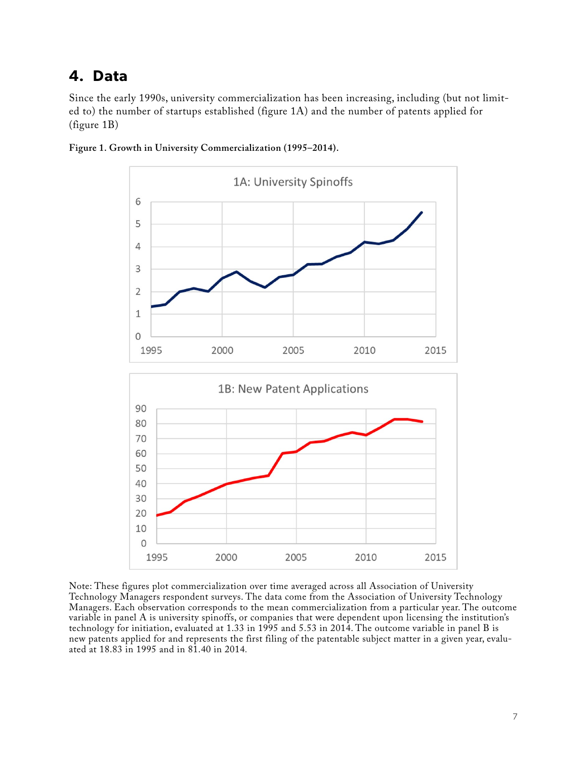#### **4. Data**

Since the early 1990s, university commercialization has been increasing, including (but not limited to) the number of startups established (figure 1A) and the number of patents applied for (figure 1B)



**Figure 1. Growth in University Commercialization (1995–2014).**

Note: These figures plot commercialization over time averaged across all Association of University Technology Managers respondent surveys. The data come from the Association of University Technology Managers. Each observation corresponds to the mean commercialization from a particular year. The outcome variable in panel A is university spinoffs, or companies that were dependent upon licensing the institution's technology for initiation, evaluated at 1.33 in 1995 and 5.53 in 2014. The outcome variable in panel B is new patents applied for and represents the first filing of the patentable subject matter in a given year, evaluated at 18.83 in 1995 and in 81.40 in 2014*.*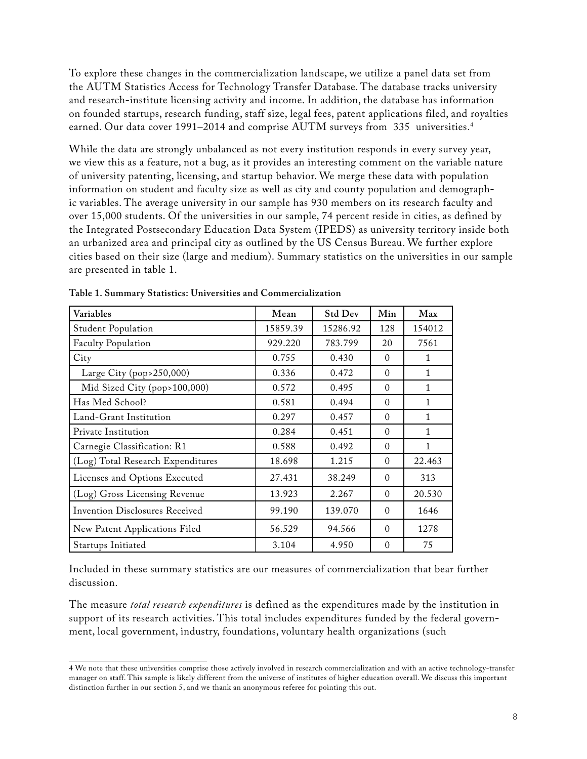To explore these changes in the commercialization landscape, we utilize a panel data set from the AUTM Statistics Access for Technology Transfer Database. The database tracks university and research-institute licensing activity and income. In addition, the database has information on founded startups, research funding, staff size, legal fees, patent applications filed, and royalties earned. Our data cover 1991–2014 and comprise AUTM surveys from 335 universities.<sup>4</sup>

While the data are strongly unbalanced as not every institution responds in every survey year, we view this as a feature, not a bug, as it provides an interesting comment on the variable nature of university patenting, licensing, and startup behavior. We merge these data with population information on student and faculty size as well as city and county population and demographic variables. The average university in our sample has 930 members on its research faculty and over 15,000 students. Of the universities in our sample, 74 percent reside in cities, as defined by the Integrated Postsecondary Education Data System (IPEDS) as university territory inside both an urbanized area and principal city as outlined by the US Census Bureau. We further explore cities based on their size (large and medium). Summary statistics on the universities in our sample are presented in table 1.

| Variables                         | Mean     | <b>Std Dev</b> | Min      | Max          |
|-----------------------------------|----------|----------------|----------|--------------|
| <b>Student Population</b>         | 15859.39 | 15286.92       | 128      | 154012       |
| <b>Faculty Population</b>         | 929.220  | 783.799        | 20       | 7561         |
| City                              | 0.755    | 0.430          | $\Omega$ | 1            |
| Large City (pop>250,000)          | 0.336    | 0.472          | $\Omega$ | 1            |
| Mid Sized City (pop>100,000)      | 0.572    | 0.495          | $\Omega$ | $\mathbf{1}$ |
| Has Med School?                   | 0.581    | 0.494          | $\Omega$ | $\mathbf{1}$ |
| Land-Grant Institution            | 0.297    | 0.457          | $\Omega$ | $\mathbf{1}$ |
| Private Institution               | 0.284    | 0.451          | $\Omega$ | 1            |
| Carnegie Classification: R1       | 0.588    | 0.492          | $\Omega$ | $\mathbf{1}$ |
| (Log) Total Research Expenditures | 18.698   | 1.215          | $\Omega$ | 22.463       |
| Licenses and Options Executed     | 27.431   | 38.249         | $\Omega$ | 313          |
| (Log) Gross Licensing Revenue     | 13.923   | 2.267          | $\Omega$ | 20.530       |
| Invention Disclosures Received    | 99.190   | 139.070        | $\Omega$ | 1646         |
| New Patent Applications Filed     | 56.529   | 94.566         | $\Omega$ | 1278         |
| Startups Initiated                | 3.104    | 4.950          | $\Omega$ | 75           |

**Table 1. Summary Statistics: Universities and Commercialization**

Included in these summary statistics are our measures of commercialization that bear further discussion.

The measure *total research expenditures* is defined as the expenditures made by the institution in support of its research activities. This total includes expenditures funded by the federal government, local government, industry, foundations, voluntary health organizations (such

<sup>4</sup> We note that these universities comprise those actively involved in research commercialization and with an active technology-transfer manager on staff. This sample is likely different from the universe of institutes of higher education overall. We discuss this important distinction further in our section 5, and we thank an anonymous referee for pointing this out.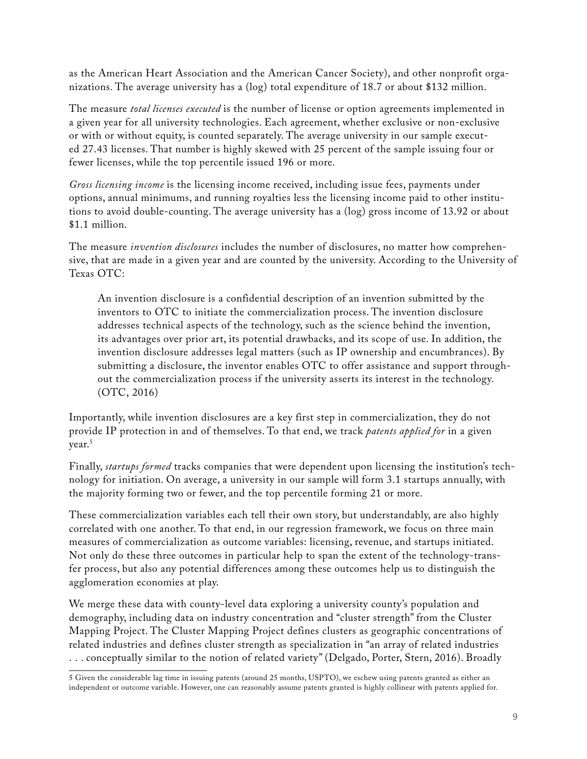as the American Heart Association and the American Cancer Society), and other nonprofit organizations. The average university has a (log) total expenditure of 18.7 or about \$132 million.

The measure *total licenses executed* is the number of license or option agreements implemented in a given year for all university technologies. Each agreement, whether exclusive or non-exclusive or with or without equity, is counted separately. The average university in our sample executed 27.43 licenses. That number is highly skewed with 25 percent of the sample issuing four or fewer licenses, while the top percentile issued 196 or more.

*Gross licensing income* is the licensing income received, including issue fees, payments under options, annual minimums, and running royalties less the licensing income paid to other institutions to avoid double-counting. The average university has a (log) gross income of 13.92 or about \$1.1 million.

The measure *invention disclosures* includes the number of disclosures, no matter how comprehensive, that are made in a given year and are counted by the university. According to the University of Texas OTC:

An invention disclosure is a confidential description of an invention submitted by the inventors to OTC to initiate the commercialization process. The invention disclosure addresses technical aspects of the technology, such as the science behind the invention, its advantages over prior art, its potential drawbacks, and its scope of use. In addition, the invention disclosure addresses legal matters (such as IP ownership and encumbrances). By submitting a disclosure, the inventor enables OTC to offer assistance and support throughout the commercialization process if the university asserts its interest in the technology. (OTC, 2016)

Importantly, while invention disclosures are a key first step in commercialization, they do not provide IP protection in and of themselves. To that end, we track *patents applied for* in a given year.<sup>5</sup>

Finally, *startups formed* tracks companies that were dependent upon licensing the institution's technology for initiation. On average, a university in our sample will form 3.1 startups annually, with the majority forming two or fewer, and the top percentile forming 21 or more.

These commercialization variables each tell their own story, but understandably, are also highly correlated with one another. To that end, in our regression framework, we focus on three main measures of commercialization as outcome variables: licensing, revenue, and startups initiated. Not only do these three outcomes in particular help to span the extent of the technology-transfer process, but also any potential differences among these outcomes help us to distinguish the agglomeration economies at play.

We merge these data with county-level data exploring a university county's population and demography, including data on industry concentration and "cluster strength" from the Cluster Mapping Project. The Cluster Mapping Project defines clusters as geographic concentrations of related industries and defines cluster strength as specialization in "an array of related industries . . . conceptually similar to the notion of related variety" (Delgado, Porter, Stern, 2016). Broadly

<sup>5</sup> Given the considerable lag time in issuing patents (around 25 months, USPTO), we eschew using patents granted as either an independent or outcome variable. However, one can reasonably assume patents granted is highly collinear with patents applied for.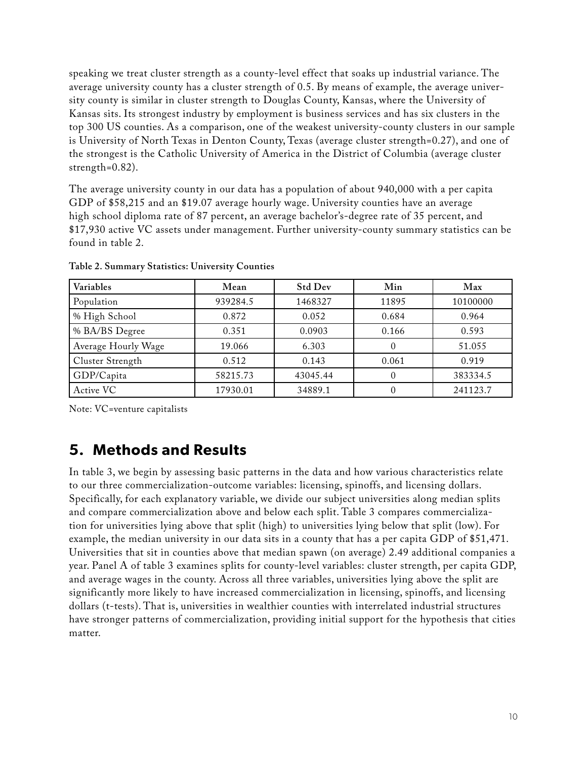speaking we treat cluster strength as a county-level effect that soaks up industrial variance. The average university county has a cluster strength of 0.5. By means of example, the average university county is similar in cluster strength to Douglas County, Kansas, where the University of Kansas sits. Its strongest industry by employment is business services and has six clusters in the top 300 US counties. As a comparison, one of the weakest university-county clusters in our sample is University of North Texas in Denton County, Texas (average cluster strength=0.27), and one of the strongest is the Catholic University of America in the District of Columbia (average cluster strength=0.82).

The average university county in our data has a population of about 940,000 with a per capita GDP of \$58,215 and an \$19.07 average hourly wage. University counties have an average high school diploma rate of 87 percent, an average bachelor's-degree rate of 35 percent, and \$17,930 active VC assets under management. Further university-county summary statistics can be found in table 2.

| Variables           | Mean     | <b>Std Dev</b> | Min   | Max      |
|---------------------|----------|----------------|-------|----------|
| Population          | 939284.5 | 1468327        | 11895 | 10100000 |
| % High School       | 0.872    | 0.052          | 0.684 | 0.964    |
| % BA/BS Degree      | 0.351    | 0.0903         | 0.166 | 0.593    |
| Average Hourly Wage | 19.066   | 6.303          |       | 51.055   |
| Cluster Strength    | 0.512    | 0.143          | 0.061 | 0.919    |
| GDP/Capita          | 58215.73 | 43045.44       |       | 383334.5 |
| Active VC           | 17930.01 | 34889.1        |       | 241123.7 |

**Table 2. Summary Statistics: University Counties**

Note: VC=venture capitalists

#### **5. Methods and Results**

In table 3, we begin by assessing basic patterns in the data and how various characteristics relate to our three commercialization-outcome variables: licensing, spinoffs, and licensing dollars. Specifically, for each explanatory variable, we divide our subject universities along median splits and compare commercialization above and below each split. Table 3 compares commercialization for universities lying above that split (high) to universities lying below that split (low). For example, the median university in our data sits in a county that has a per capita GDP of \$51,471. Universities that sit in counties above that median spawn (on average) 2.49 additional companies a year. Panel A of table 3 examines splits for county-level variables: cluster strength, per capita GDP, and average wages in the county. Across all three variables, universities lying above the split are significantly more likely to have increased commercialization in licensing, spinoffs, and licensing dollars (t-tests). That is, universities in wealthier counties with interrelated industrial structures have stronger patterns of commercialization, providing initial support for the hypothesis that cities matter.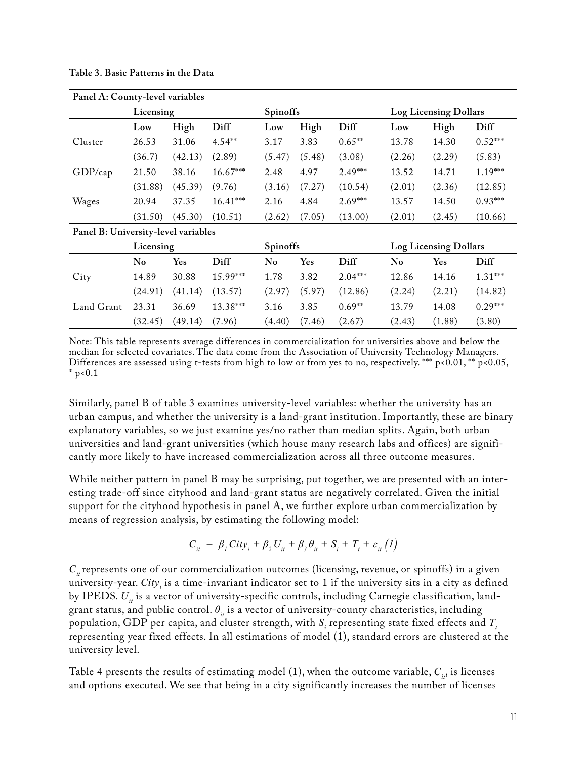| Panel A: County-level variables     |           |            |            |                 |        |           |                              |                              |           |
|-------------------------------------|-----------|------------|------------|-----------------|--------|-----------|------------------------------|------------------------------|-----------|
|                                     | Licensing |            |            | <b>Spinoffs</b> |        |           |                              | <b>Log Licensing Dollars</b> |           |
|                                     | Low       | High       | Diff       | Low             | High   | Diff      | Low                          | High                         | Diff      |
| Cluster                             | 26.53     | 31.06      | $4.54***$  | 3.17            | 3.83   | $0.65**$  | 13.78                        | 14.30                        | $0.52***$ |
|                                     | (36.7)    | (42.13)    | (2.89)     | (5.47)          | (5.48) | (3.08)    | (2.26)                       | (2.29)                       | (5.83)    |
| GDP/cap                             | 21.50     | 38.16      | 16.67***   | 2.48            | 4.97   | $2.49***$ | 13.52                        | 14.71                        | $1.19***$ |
|                                     | (31.88)   | (45.39)    | (9.76)     | (3.16)          | (7.27) | (10.54)   | (2.01)                       | (2.36)                       | (12.85)   |
| Wages                               | 20.94     | 37.35      | $16.41***$ | 2.16            | 4.84   | $2.69***$ | 13.57                        | 14.50                        | $0.93***$ |
|                                     | (31.50)   | (45.30)    | (10.51)    | (2.62)          | (7.05) | (13.00)   | (2.01)                       | (2.45)                       | (10.66)   |
| Panel B: University-level variables |           |            |            |                 |        |           |                              |                              |           |
|                                     | Licensing |            |            | Spinoffs        |        |           | <b>Log Licensing Dollars</b> |                              |           |
|                                     | No        | <b>Yes</b> | Diff       | No              | Yes    | Diff      | No                           | Yes                          | Diff      |
| City                                | 14.89     | 30.88      | 15.99***   | 1.78            | 3.82   | $2.04***$ | 12.86                        | 14.16                        | $1.31***$ |
|                                     | (24.91)   | (41.14)    | (13.57)    | (2.97)          | (5.97) | (12.86)   | (2.24)                       | (2.21)                       | (14.82)   |
| Land Grant                          | 23.31     | 36.69      | 13.38***   | 3.16            | 3.85   | $0.69**$  | 13.79                        | 14.08                        | $0.29***$ |
|                                     | (32.45)   | (49.14)    | (7.96)     | (4.40)          | (7.46) | (2.67)    | (2.43)                       | (1.88)                       | (3.80)    |

**Table 3. Basic Patterns in the Data**

Note: This table represents average differences in commercialization for universities above and below the median for selected covariates. The data come from the Association of University Technology Managers. Differences are assessed using t-tests from high to low or from yes to no, respectively. \*\*\* p<0.01, \*\* p<0.05,  $*$  p<0.1

Similarly, panel B of table 3 examines university-level variables: whether the university has an urban campus, and whether the university is a land-grant institution. Importantly, these are binary explanatory variables, so we just examine yes/no rather than median splits. Again, both urban universities and land-grant universities (which house many research labs and offices) are significantly more likely to have increased commercialization across all three outcome measures.

While neither pattern in panel B may be surprising, put together, we are presented with an interesting trade-off since cityhood and land-grant status are negatively correlated. Given the initial support for the cityhood hypothesis in panel A, we further explore urban commercialization by means of regression analysis, by estimating the following model:

$$
C_{it} = \beta_1 \text{City}_i + \beta_2 U_{it} + \beta_3 \theta_{it} + S_i + T_t + \varepsilon_{it} (1)
$$

 $C<sub>i</sub>$  represents one of our commercialization outcomes (licensing, revenue, or spinoffs) in a given university-year. *City<sup>i</sup>* is a time-invariant indicator set to 1 if the university sits in a city as defined by IPEDS.  $U_i$  is a vector of university-specific controls, including Carnegie classification, landgrant status, and public control.  $\theta_{it}$  is a vector of university-county characteristics, including population, GDP per capita, and cluster strength, with  $S_i$  representing state fixed effects and  $T_i$ representing year fixed effects. In all estimations of model (1), standard errors are clustered at the university level.

Table 4 presents the results of estimating model (1), when the outcome variable,  $C_i$ , is licenses and options executed. We see that being in a city significantly increases the number of licenses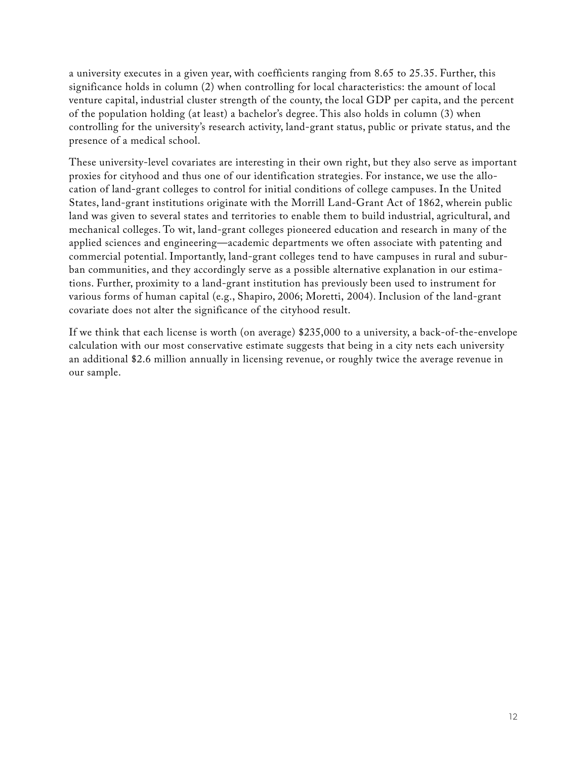a university executes in a given year, with coefficients ranging from 8.65 to 25.35. Further, this significance holds in column (2) when controlling for local characteristics: the amount of local venture capital, industrial cluster strength of the county, the local GDP per capita, and the percent of the population holding (at least) a bachelor's degree. This also holds in column (3) when controlling for the university's research activity, land-grant status, public or private status, and the presence of a medical school.

These university-level covariates are interesting in their own right, but they also serve as important proxies for cityhood and thus one of our identification strategies. For instance, we use the allocation of land-grant colleges to control for initial conditions of college campuses. In the United States, land-grant institutions originate with the Morrill Land-Grant Act of 1862, wherein public land was given to several states and territories to enable them to build industrial, agricultural, and mechanical colleges. To wit, land-grant colleges pioneered education and research in many of the applied sciences and engineering—academic departments we often associate with patenting and commercial potential. Importantly, land-grant colleges tend to have campuses in rural and suburban communities, and they accordingly serve as a possible alternative explanation in our estimations. Further, proximity to a land-grant institution has previously been used to instrument for various forms of human capital (e.g., Shapiro, 2006; Moretti, 2004). Inclusion of the land-grant covariate does not alter the significance of the cityhood result.

If we think that each license is worth (on average) \$235,000 to a university, a back-of-the-envelope calculation with our most conservative estimate suggests that being in a city nets each university an additional \$2.6 million annually in licensing revenue, or roughly twice the average revenue in our sample.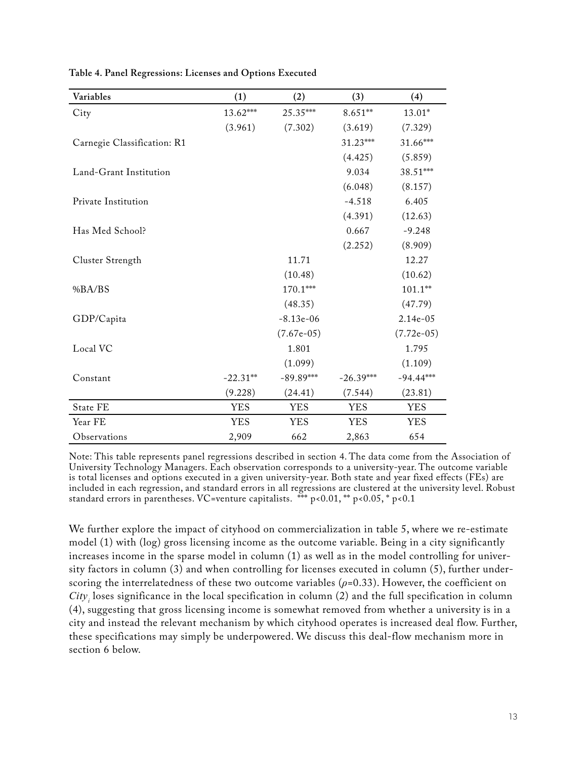| Variables                   | (1)        | (2)          | (3)         | (4)          |
|-----------------------------|------------|--------------|-------------|--------------|
| City                        | 13.62***   | 25.35***     | $8.651**$   | $13.01*$     |
|                             | (3.961)    | (7.302)      | (3.619)     | (7.329)      |
| Carnegie Classification: R1 |            |              | 31.23***    | 31.66***     |
|                             |            |              | (4.425)     | (5.859)      |
| Land-Grant Institution      |            |              | 9.034       | 38.51***     |
|                             |            |              | (6.048)     | (8.157)      |
| Private Institution         |            |              | $-4.518$    | 6.405        |
|                             |            |              | (4.391)     | (12.63)      |
| Has Med School?             |            |              | 0.667       | $-9.248$     |
|                             |            |              | (2.252)     | (8.909)      |
| Cluster Strength            |            | 11.71        |             | 12.27        |
|                             |            | (10.48)      |             | (10.62)      |
| %BA/BS                      |            | $170.1***$   |             | $101.1***$   |
|                             |            | (48.35)      |             | (47.79)      |
| GDP/Capita                  |            | $-8.13e-06$  |             | 2.14e-05     |
|                             |            | $(7.67e-05)$ |             | $(7.72e-05)$ |
| Local VC                    |            | 1.801        |             | 1.795        |
|                             |            | (1.099)      |             | (1.109)      |
| Constant                    | $-22.31**$ | $-89.89***$  | $-26.39***$ | $-94.44***$  |
|                             | (9.228)    | (24.41)      | (7.544)     | (23.81)      |
| State FE                    | <b>YES</b> | <b>YES</b>   | <b>YES</b>  | <b>YES</b>   |
| Year FE                     | <b>YES</b> | <b>YES</b>   | <b>YES</b>  | <b>YES</b>   |
| Observations                | 2,909      | 662          | 2,863       | 654          |

**Table 4. Panel Regressions: Licenses and Options Executed**

Note: This table represents panel regressions described in section 4. The data come from the Association of University Technology Managers. Each observation corresponds to a university-year. The outcome variable is total licenses and options executed in a given university-year. Both state and year fixed effects (FEs) are included in each regression, and standard errors in all regressions are clustered at the university level. Robust standard errors in parentheses. VC=venture capitalists.  $***$  p<0.01, \*\* p<0.05, \* p<0.1

We further explore the impact of cityhood on commercialization in table 5, where we re-estimate model (1) with (log) gross licensing income as the outcome variable. Being in a city significantly increases income in the sparse model in column (1) as well as in the model controlling for university factors in column (3) and when controlling for licenses executed in column (5), further underscoring the interrelatedness of these two outcome variables (*ρ*=0.33). However, the coefficient on *City<sup>i</sup>* loses significance in the local specification in column (2) and the full specification in column (4), suggesting that gross licensing income is somewhat removed from whether a university is in a city and instead the relevant mechanism by which cityhood operates is increased deal flow. Further, these specifications may simply be underpowered. We discuss this deal-flow mechanism more in section 6 below.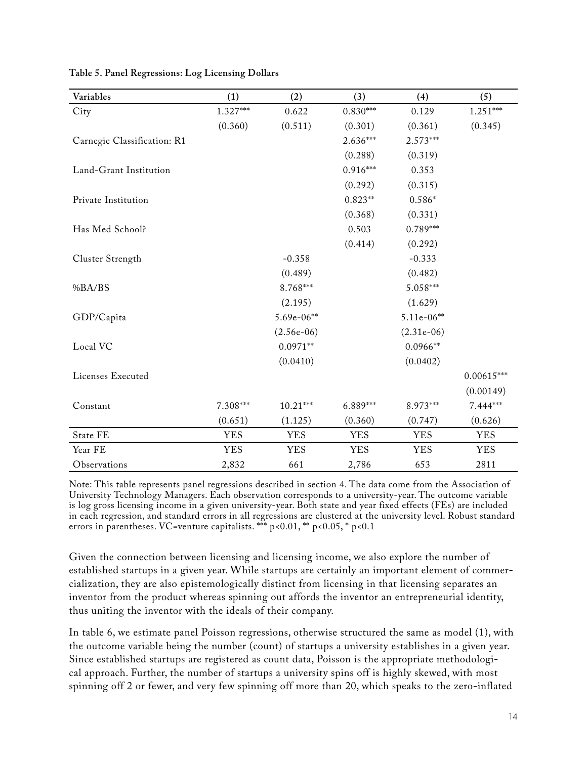| Variables                   | (1)        | (2)          | (3)        | (4)          | (5)          |
|-----------------------------|------------|--------------|------------|--------------|--------------|
| City                        | $1.327***$ | 0.622        | $0.830***$ | 0.129        | $1.251***$   |
|                             | (0.360)    | (0.511)      | (0.301)    | (0.361)      | (0.345)      |
| Carnegie Classification: R1 |            |              | 2.636***   | 2.573***     |              |
|                             |            |              | (0.288)    | (0.319)      |              |
| Land-Grant Institution      |            |              | $0.916***$ | 0.353        |              |
|                             |            |              | (0.292)    | (0.315)      |              |
| Private Institution         |            |              | $0.823**$  | $0.586*$     |              |
|                             |            |              | (0.368)    | (0.331)      |              |
| Has Med School?             |            |              | 0.503      | $0.789***$   |              |
|                             |            |              | (0.414)    | (0.292)      |              |
| Cluster Strength            |            | $-0.358$     |            | $-0.333$     |              |
|                             |            | (0.489)      |            | (0.482)      |              |
| %BA/BS                      |            | 8.768***     |            | 5.058***     |              |
|                             |            | (2.195)      |            | (1.629)      |              |
| GDP/Capita                  |            | $5.69e-06**$ |            | $5.11e-06**$ |              |
|                             |            | $(2.56e-06)$ |            | $(2.31e-06)$ |              |
| Local VC                    |            | $0.0971**$   |            | $0.0966**$   |              |
|                             |            | (0.0410)     |            | (0.0402)     |              |
| Licenses Executed           |            |              |            |              | $0.00615***$ |
|                             |            |              |            |              | (0.00149)    |
| Constant                    | $7.308***$ | $10.21***$   | 6.889***   | 8.973***     | 7.444***     |
|                             | (0.651)    | (1.125)      | (0.360)    | (0.747)      | (0.626)      |
| State FE                    | <b>YES</b> | <b>YES</b>   | <b>YES</b> | <b>YES</b>   | <b>YES</b>   |
| Year FE                     | <b>YES</b> | <b>YES</b>   | <b>YES</b> | <b>YES</b>   | <b>YES</b>   |
| Observations                | 2,832      | 661          | 2,786      | 653          | 2811         |

| Table 5. Panel Regressions: Log Licensing Dollars |  |  |  |
|---------------------------------------------------|--|--|--|
|---------------------------------------------------|--|--|--|

Note: This table represents panel regressions described in section 4. The data come from the Association of University Technology Managers. Each observation corresponds to a university-year. The outcome variable is log gross licensing income in a given university-year. Both state and year fixed effects (FEs) are included in each regression, and standard errors in all regressions are clustered at the university level. Robust standard errors in parentheses. VC=venture capitalists. \*\*\* p<0.01, \*\* p<0.05, \* p<0.1

Given the connection between licensing and licensing income, we also explore the number of established startups in a given year. While startups are certainly an important element of commercialization, they are also epistemologically distinct from licensing in that licensing separates an inventor from the product whereas spinning out affords the inventor an entrepreneurial identity, thus uniting the inventor with the ideals of their company.

In table 6, we estimate panel Poisson regressions, otherwise structured the same as model (1), with the outcome variable being the number (count) of startups a university establishes in a given year. Since established startups are registered as count data, Poisson is the appropriate methodological approach. Further, the number of startups a university spins off is highly skewed, with most spinning off 2 or fewer, and very few spinning off more than 20, which speaks to the zero-inflated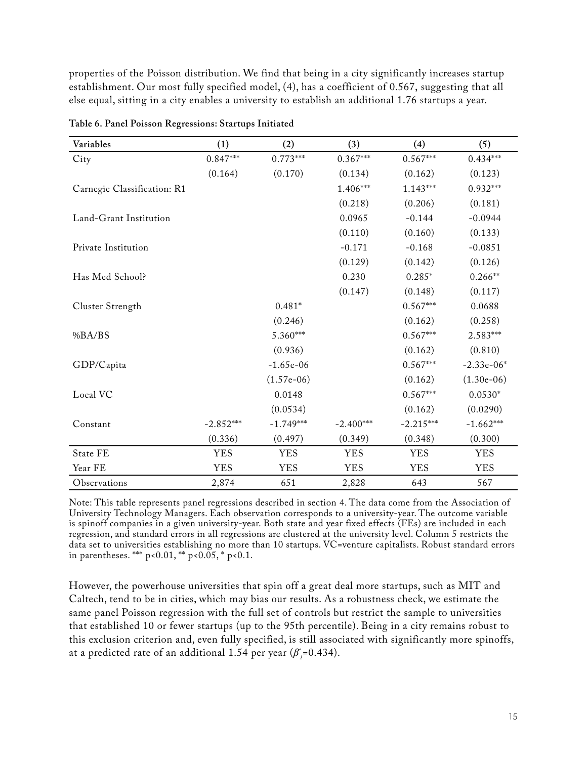properties of the Poisson distribution. We find that being in a city significantly increases startup establishment. Our most fully specified model, (4), has a coefficient of 0.567, suggesting that all else equal, sitting in a city enables a university to establish an additional 1.76 startups a year.

| Variables                   | (1)         | (2)          | (3)         | (4)         | (5)          |
|-----------------------------|-------------|--------------|-------------|-------------|--------------|
| City                        | $0.847***$  | $0.773***$   | $0.367***$  | $0.567***$  | $0.434***$   |
|                             | (0.164)     | (0.170)      | (0.134)     | (0.162)     | (0.123)      |
| Carnegie Classification: R1 |             |              | 1.406***    | $1.143***$  | $0.932***$   |
|                             |             |              | (0.218)     | (0.206)     | (0.181)      |
| Land-Grant Institution      |             |              | 0.0965      | $-0.144$    | $-0.0944$    |
|                             |             |              | (0.110)     | (0.160)     | (0.133)      |
| Private Institution         |             |              | $-0.171$    | $-0.168$    | $-0.0851$    |
|                             |             |              | (0.129)     | (0.142)     | (0.126)      |
| Has Med School?             |             |              | 0.230       | $0.285*$    | $0.266**$    |
|                             |             |              | (0.147)     | (0.148)     | (0.117)      |
| Cluster Strength            |             | $0.481*$     |             | $0.567***$  | 0.0688       |
|                             |             | (0.246)      |             | (0.162)     | (0.258)      |
| %BA/BS                      |             | 5.360***     |             | $0.567***$  | 2.583***     |
|                             |             | (0.936)      |             | (0.162)     | (0.810)      |
| GDP/Capita                  |             | $-1.65e-06$  |             | $0.567***$  | $-2.33e-06*$ |
|                             |             | $(1.57e-06)$ |             | (0.162)     | $(1.30e-06)$ |
| Local VC                    |             | 0.0148       |             | $0.567***$  | $0.0530*$    |
|                             |             | (0.0534)     |             | (0.162)     | (0.0290)     |
| Constant                    | $-2.852***$ | $-1.749***$  | $-2.400***$ | $-2.215***$ | $-1.662***$  |
|                             | (0.336)     | (0.497)      | (0.349)     | (0.348)     | (0.300)      |
| State FE                    | <b>YES</b>  | <b>YES</b>   | <b>YES</b>  | <b>YES</b>  | <b>YES</b>   |
| Year FE                     | <b>YES</b>  | <b>YES</b>   | <b>YES</b>  | <b>YES</b>  | <b>YES</b>   |
| Observations                | 2,874       | 651          | 2,828       | 643         | 567          |

**Table 6. Panel Poisson Regressions: Startups Initiated**

Note: This table represents panel regressions described in section 4. The data come from the Association of University Technology Managers. Each observation corresponds to a university-year. The outcome variable is spinoff companies in a given university-year. Both state and year fixed effects (FEs) are included in each regression, and standard errors in all regressions are clustered at the university level. Column 5 restricts the data set to universities establishing no more than 10 startups. VC=venture capitalists. Robust standard errors in parentheses. \*\*\*  $p < 0.01$ , \*\*  $p < 0.05$ , \*  $p < 0.1$ .

However, the powerhouse universities that spin off a great deal more startups, such as MIT and Caltech, tend to be in cities, which may bias our results. As a robustness check, we estimate the same panel Poisson regression with the full set of controls but restrict the sample to universities that established 10 or fewer startups (up to the 95th percentile). Being in a city remains robust to this exclusion criterion and, even fully specified, is still associated with significantly more spinoffs, at a predicted rate of an additional 1.54 per year (*β̂<sup>1</sup>* =0.434).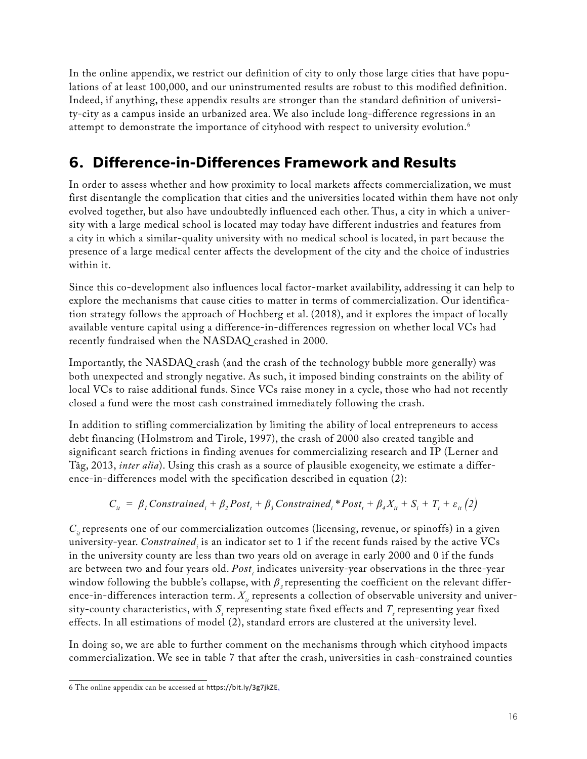In the online appendix, we restrict our definition of city to only those large cities that have populations of at least 100,000, and our uninstrumented results are robust to this modified definition. Indeed, if anything, these appendix results are stronger than the standard definition of university-city as a campus inside an urbanized area. We also include long-difference regressions in an attempt to demonstrate the importance of cityhood with respect to university evolution.<sup>6</sup>

## **6. Difference-in-Differences Framework and Results**

In order to assess whether and how proximity to local markets affects commercialization, we must first disentangle the complication that cities and the universities located within them have not only evolved together, but also have undoubtedly influenced each other. Thus, a city in which a university with a large medical school is located may today have different industries and features from a city in which a similar-quality university with no medical school is located, in part because the presence of a large medical center affects the development of the city and the choice of industries within it.

Since this co-development also influences local factor-market availability, addressing it can help to explore the mechanisms that cause cities to matter in terms of commercialization. Our identification strategy follows the approach of Hochberg et al. (2018), and it explores the impact of locally available venture capital using a difference-in-differences regression on whether local VCs had recently fundraised when the NASDAQ crashed in 2000.

Importantly, the NASDAQ crash (and the crash of the technology bubble more generally) was both unexpected and strongly negative. As such, it imposed binding constraints on the ability of local VCs to raise additional funds. Since VCs raise money in a cycle, those who had not recently closed a fund were the most cash constrained immediately following the crash.

In addition to stifling commercialization by limiting the ability of local entrepreneurs to access debt financing (Holmstrom and Tirole, 1997), the crash of 2000 also created tangible and significant search frictions in finding avenues for commercializing research and IP (Lerner and Tåg, 2013, *inter alia*). Using this crash as a source of plausible exogeneity, we estimate a difference-in-differences model with the specification described in equation (2):

$$
C_{it} = \beta_1 \text{Constrained}_i + \beta_2 \text{Post}_t + \beta_3 \text{Constrained}_i * \text{Post}_t + \beta_4 X_{it} + S_i + T_t + \varepsilon_{it} (2)
$$

 $C_i$  represents one of our commercialization outcomes (licensing, revenue, or spinoffs) in a given university-year. *Constrained<sup>i</sup>* is an indicator set to 1 if the recent funds raised by the active VCs in the university county are less than two years old on average in early 2000 and 0 if the funds are between two and four years old. *Post<sup>t</sup>* indicates university-year observations in the three-year window following the bubble's collapse, with  $β_3$  representing the coefficient on the relevant difference-in-differences interaction term.  $X_i$  represents a collection of observable university and university-county characteristics, with  $S_i$  representing state fixed effects and  $T_i$  representing year fixed effects. In all estimations of model (2), standard errors are clustered at the university level.

In doing so, we are able to further comment on the mechanisms through which cityhood impacts commercialization. We see in table 7 that after the crash, universities in cash-constrained counties

<sup>6</sup> The online appendix can be accessed at [https://bit.ly/3g7jkZE.](https://bit.ly/3g7jkZE)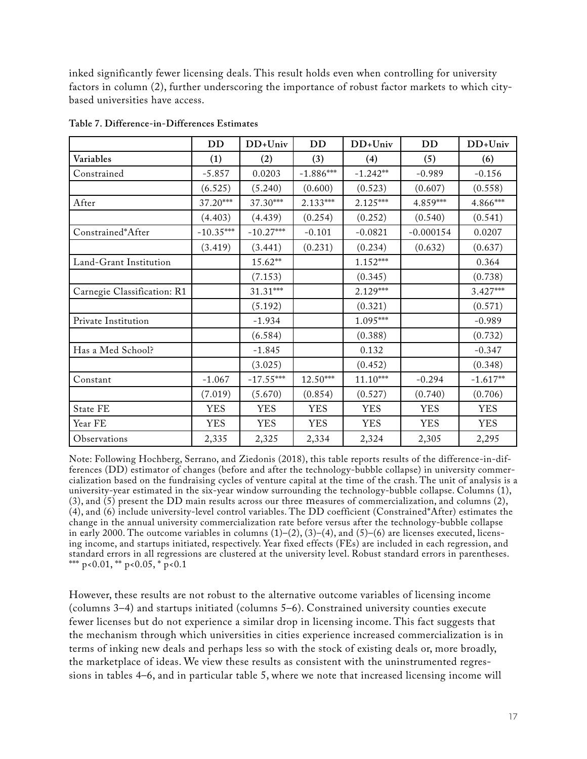inked significantly fewer licensing deals. This result holds even when controlling for university factors in column (2), further underscoring the importance of robust factor markets to which citybased universities have access.

|                             | <b>DD</b>   | $DD+Univ$   | DD          | $DD+Univ$  | DD          | DD+Univ    |
|-----------------------------|-------------|-------------|-------------|------------|-------------|------------|
| Variables                   | (1)         | (2)         | (3)         | (4)        | (5)         | (6)        |
| Constrained                 | $-5.857$    | 0.0203      | $-1.886***$ | $-1.242**$ | $-0.989$    | $-0.156$   |
|                             | (6.525)     | (5.240)     | (0.600)     | (0.523)    | (0.607)     | (0.558)    |
| After                       | 37.20***    | 37.30***    | 2.133***    | $2.125***$ | 4.859***    | 4.866***   |
|                             | (4.403)     | (4.439)     | (0.254)     | (0.252)    | (0.540)     | (0.541)    |
| Constrained*After           | $-10.35***$ | $-10.27***$ | $-0.101$    | $-0.0821$  | $-0.000154$ | 0.0207     |
|                             | (3.419)     | (3.441)     | (0.231)     | (0.234)    | (0.632)     | (0.637)    |
| Land-Grant Institution      |             | 15.62**     |             | $1.152***$ |             | 0.364      |
|                             |             | (7.153)     |             | (0.345)    |             | (0.738)    |
| Carnegie Classification: R1 |             | 31.31***    |             | 2.129***   |             | $3.427***$ |
|                             |             | (5.192)     |             | (0.321)    |             | (0.571)    |
| Private Institution         |             | $-1.934$    |             | 1.095***   |             | $-0.989$   |
|                             |             | (6.584)     |             | (0.388)    |             | (0.732)    |
| Has a Med School?           |             | $-1.845$    |             | 0.132      |             | $-0.347$   |
|                             |             | (3.025)     |             | (0.452)    |             | (0.348)    |
| Constant                    | $-1.067$    | $-17.55***$ | $12.50***$  | $11.10***$ | $-0.294$    | $-1.617**$ |
|                             | (7.019)     | (5.670)     | (0.854)     | (0.527)    | (0.740)     | (0.706)    |
| State FE                    | <b>YES</b>  | <b>YES</b>  | <b>YES</b>  | <b>YES</b> | <b>YES</b>  | <b>YES</b> |
| Year FE                     | <b>YES</b>  | <b>YES</b>  | <b>YES</b>  | <b>YES</b> | <b>YES</b>  | <b>YES</b> |
| Observations                | 2,335       | 2,325       | 2,334       | 2,324      | 2,305       | 2,295      |

**Table 7. Difference-in-Differences Estimates**

Note: Following Hochberg, Serrano, and Ziedonis (2018), this table reports results of the difference-in-differences (DD) estimator of changes (before and after the technology-bubble collapse) in university commercialization based on the fundraising cycles of venture capital at the time of the crash. The unit of analysis is a university-year estimated in the six-year window surrounding the technology-bubble collapse. Columns (1), (3), and (5) present the DD main results across our three measures of commercialization, and columns (2), (4), and (6) include university-level control variables. The DD coefficient (Constrained\*After) estimates the change in the annual university commercialization rate before versus after the technology-bubble collapse in early 2000. The outcome variables in columns  $(1)$ – $(2)$ ,  $(3)$ – $(4)$ , and  $(5)$ – $(6)$  are licenses executed, licensing income, and startups initiated, respectively. Year fixed effects (FEs) are included in each regression, and standard errors in all regressions are clustered at the university level. Robust standard errors in parentheses. \*\*\* p<0.01, \*\* p<0.05, \* p<0.1

However, these results are not robust to the alternative outcome variables of licensing income (columns 3–4) and startups initiated (columns 5–6). Constrained university counties execute fewer licenses but do not experience a similar drop in licensing income. This fact suggests that the mechanism through which universities in cities experience increased commercialization is in terms of inking new deals and perhaps less so with the stock of existing deals or, more broadly, the marketplace of ideas. We view these results as consistent with the uninstrumented regressions in tables 4–6, and in particular table 5, where we note that increased licensing income will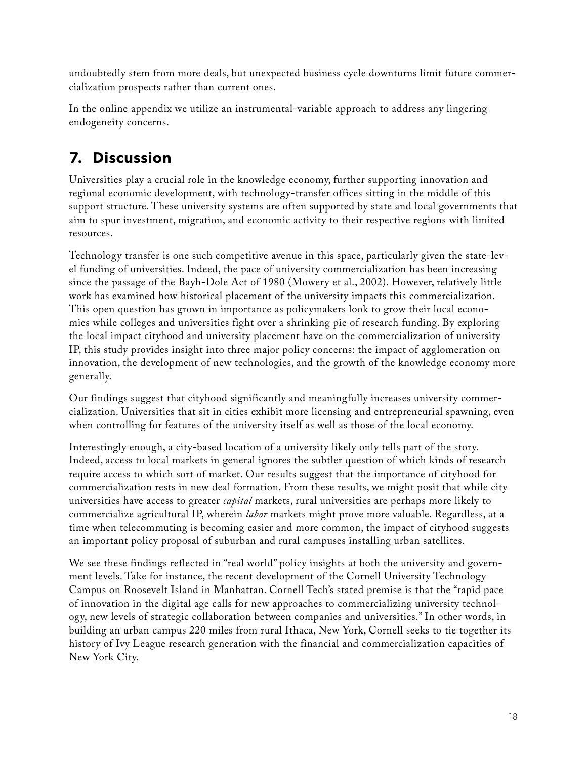undoubtedly stem from more deals, but unexpected business cycle downturns limit future commercialization prospects rather than current ones.

In the online appendix we utilize an instrumental-variable approach to address any lingering endogeneity concerns.

# **7. Discussion**

Universities play a crucial role in the knowledge economy, further supporting innovation and regional economic development, with technology-transfer offices sitting in the middle of this support structure. These university systems are often supported by state and local governments that aim to spur investment, migration, and economic activity to their respective regions with limited resources.

Technology transfer is one such competitive avenue in this space, particularly given the state-level funding of universities. Indeed, the pace of university commercialization has been increasing since the passage of the Bayh-Dole Act of 1980 (Mowery et al., 2002). However, relatively little work has examined how historical placement of the university impacts this commercialization. This open question has grown in importance as policymakers look to grow their local economies while colleges and universities fight over a shrinking pie of research funding. By exploring the local impact cityhood and university placement have on the commercialization of university IP, this study provides insight into three major policy concerns: the impact of agglomeration on innovation, the development of new technologies, and the growth of the knowledge economy more generally.

Our findings suggest that cityhood significantly and meaningfully increases university commercialization. Universities that sit in cities exhibit more licensing and entrepreneurial spawning, even when controlling for features of the university itself as well as those of the local economy.

Interestingly enough, a city-based location of a university likely only tells part of the story. Indeed, access to local markets in general ignores the subtler question of which kinds of research require access to which sort of market. Our results suggest that the importance of cityhood for commercialization rests in new deal formation. From these results, we might posit that while city universities have access to greater *capital* markets, rural universities are perhaps more likely to commercialize agricultural IP, wherein *labor* markets might prove more valuable. Regardless, at a time when telecommuting is becoming easier and more common, the impact of cityhood suggests an important policy proposal of suburban and rural campuses installing urban satellites.

We see these findings reflected in "real world" policy insights at both the university and government levels. Take for instance, the recent development of the Cornell University Technology Campus on Roosevelt Island in Manhattan. Cornell Tech's stated premise is that the "rapid pace of innovation in the digital age calls for new approaches to commercializing university technology, new levels of strategic collaboration between companies and universities." In other words, in building an urban campus 220 miles from rural Ithaca, New York, Cornell seeks to tie together its history of Ivy League research generation with the financial and commercialization capacities of New York City.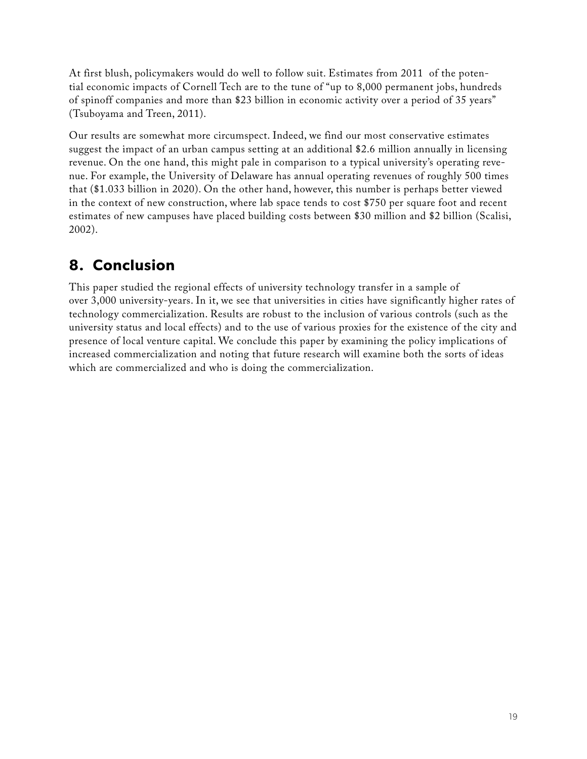At first blush, policymakers would do well to follow suit. Estimates from 2011 of the potential economic impacts of Cornell Tech are to the tune of "up to 8,000 permanent jobs, hundreds of spinoff companies and more than \$23 billion in economic activity over a period of 35 years" (Tsuboyama and Treen, 2011).

Our results are somewhat more circumspect. Indeed, we find our most conservative estimates suggest the impact of an urban campus setting at an additional \$2.6 million annually in licensing revenue. On the one hand, this might pale in comparison to a typical university's operating revenue. For example, the University of Delaware has annual operating revenues of roughly 500 times that (\$1.033 billion in 2020). On the other hand, however, this number is perhaps better viewed in the context of new construction, where lab space tends to cost \$750 per square foot and recent estimates of new campuses have placed building costs between \$30 million and \$2 billion (Scalisi, 2002).

## **8. Conclusion**

This paper studied the regional effects of university technology transfer in a sample of over 3,000 university-years. In it, we see that universities in cities have significantly higher rates of technology commercialization. Results are robust to the inclusion of various controls (such as the university status and local effects) and to the use of various proxies for the existence of the city and presence of local venture capital. We conclude this paper by examining the policy implications of increased commercialization and noting that future research will examine both the sorts of ideas which are commercialized and who is doing the commercialization.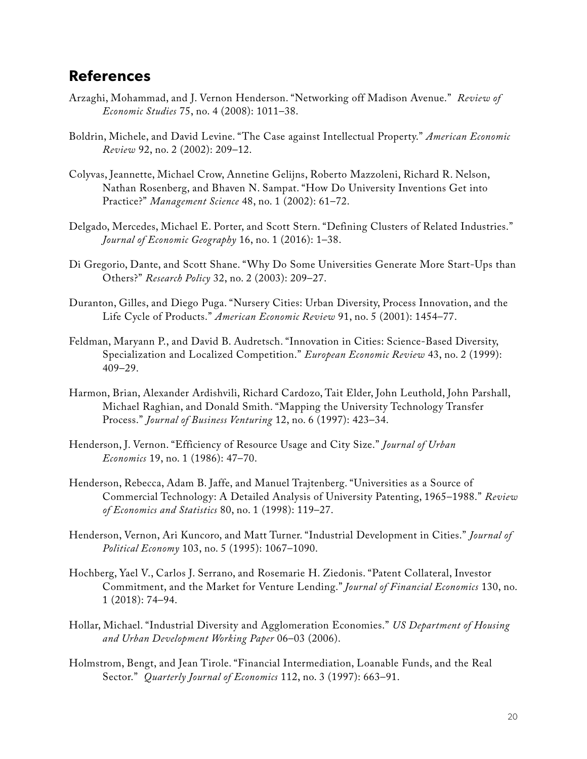#### **References**

- Arzaghi, Mohammad, and J. Vernon Henderson. "Networking off Madison Avenue." *Review of Economic Studies* 75, no. 4 (2008): 1011–38.
- Boldrin, Michele, and David Levine. "The Case against Intellectual Property." *American Economic Review* 92, no. 2 (2002): 209–12.
- Colyvas, Jeannette, Michael Crow, Annetine Gelijns, Roberto Mazzoleni, Richard R. Nelson, Nathan Rosenberg, and Bhaven N. Sampat. "How Do University Inventions Get into Practice?" *Management Science* 48, no. 1 (2002): 61–72.
- Delgado, Mercedes, Michael E. Porter, and Scott Stern. "Defining Clusters of Related Industries." *Journal of Economic Geography* 16, no. 1 (2016): 1–38.
- Di Gregorio, Dante, and Scott Shane. "Why Do Some Universities Generate More Start-Ups than Others?" *Research Policy* 32, no. 2 (2003): 209–27.
- Duranton, Gilles, and Diego Puga. "Nursery Cities: Urban Diversity, Process Innovation, and the Life Cycle of Products." *American Economic Review* 91, no. 5 (2001): 1454–77.
- Feldman, Maryann P., and David B. Audretsch. "Innovation in Cities: Science-Based Diversity, Specialization and Localized Competition." *European Economic Review* 43, no. 2 (1999): 409–29.
- Harmon, Brian, Alexander Ardishvili, Richard Cardozo, Tait Elder, John Leuthold, John Parshall, Michael Raghian, and Donald Smith. "Mapping the University Technology Transfer Process." *Journal of Business Venturing* 12, no. 6 (1997): 423–34.
- Henderson, J. Vernon. "Efficiency of Resource Usage and City Size." *Journal of Urban Economics* 19, no. 1 (1986): 47–70.
- Henderson, Rebecca, Adam B. Jaffe, and Manuel Trajtenberg. "Universities as a Source of Commercial Technology: A Detailed Analysis of University Patenting, 1965–1988." *Review of Economics and Statistics* 80, no. 1 (1998): 119–27.
- Henderson, Vernon, Ari Kuncoro, and Matt Turner. "Industrial Development in Cities." *Journal of Political Economy* 103, no. 5 (1995): 1067–1090.
- Hochberg, Yael V., Carlos J. Serrano, and Rosemarie H. Ziedonis. "Patent Collateral, Investor Commitment, and the Market for Venture Lending." *Journal of Financial Economics* 130, no. 1 (2018): 74–94.
- Hollar, Michael. "Industrial Diversity and Agglomeration Economies." *US Department of Housing and Urban Development Working Paper* 06–03 (2006).
- Holmstrom, Bengt, and Jean Tirole. "Financial Intermediation, Loanable Funds, and the Real Sector." *Quarterly Journal of Economics* 112, no. 3 (1997): 663–91.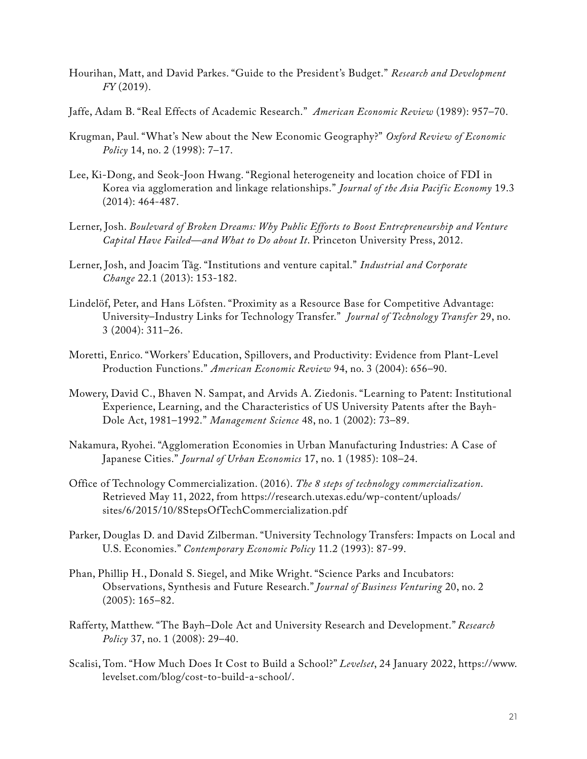- Hourihan, Matt, and David Parkes. "Guide to the President's Budget." *Research and Development FY* (2019).
- Jaffe, Adam B. "Real Effects of Academic Research." *American Economic Review* (1989): 957–70.
- Krugman, Paul. "What's New about the New Economic Geography?" *Oxford Review of Economic Policy* 14, no. 2 (1998): 7–17.
- Lee, Ki-Dong, and Seok-Joon Hwang. "Regional heterogeneity and location choice of FDI in Korea via agglomeration and linkage relationships." *Journal of the Asia Pacif ic Economy* 19.3 (2014): 464-487.
- Lerner, Josh. *Boulevard of Broken Dreams: Why Public Efforts to Boost Entrepreneurship and Venture Capital Have Failed—and What to Do about It*. Princeton University Press, 2012.
- Lerner, Josh, and Joacim Tåg. "Institutions and venture capital." *Industrial and Corporate Change* 22.1 (2013): 153-182.
- Lindelöf, Peter, and Hans Löfsten. "Proximity as a Resource Base for Competitive Advantage: University–Industry Links for Technology Transfer." *Journal of Technology Transfer* 29, no. 3 (2004): 311–26.
- Moretti, Enrico. "Workers' Education, Spillovers, and Productivity: Evidence from Plant-Level Production Functions." *American Economic Review* 94, no. 3 (2004): 656–90.
- Mowery, David C., Bhaven N. Sampat, and Arvids A. Ziedonis. "Learning to Patent: Institutional Experience, Learning, and the Characteristics of US University Patents after the Bayh-Dole Act, 1981–1992." *Management Science* 48, no. 1 (2002): 73–89.
- Nakamura, Ryohei. "Agglomeration Economies in Urban Manufacturing Industries: A Case of Japanese Cities." *Journal of Urban Economics* 17, no. 1 (1985): 108–24.
- Office of Technology Commercialization. (2016). *The 8 steps of technology commercialization*. Retrieved May 11, 2022, from [https://research.utexas.edu/wp-content/uploads/](https://research.utexas.edu/wp-content/uploads/sites/6/2015/10/8StepsOfTechCommercialization.pdf) [sites/6/2015/10/8StepsOfTechCommercialization.pdf](https://research.utexas.edu/wp-content/uploads/sites/6/2015/10/8StepsOfTechCommercialization.pdf)
- Parker, Douglas D. and David Zilberman. "University Technology Transfers: Impacts on Local and U.S. Economies." *Contemporary Economic Policy* 11.2 (1993): 87-99.
- Phan, Phillip H., Donald S. Siegel, and Mike Wright. "Science Parks and Incubators: Observations, Synthesis and Future Research." *Journal of Business Venturing* 20, no. 2 (2005): 165–82.
- Rafferty, Matthew. "The Bayh–Dole Act and University Research and Development." *Research Policy* 37, no. 1 (2008): 29–40.
- Scalisi, Tom. "How Much Does It Cost to Build a School?" *Levelset*, 24 January 2022, [https://www.](https://www.levelset.com/blog/cost-to-build-a-school/) [levelset.com/blog/cost-to-build-a-school/](https://www.levelset.com/blog/cost-to-build-a-school/).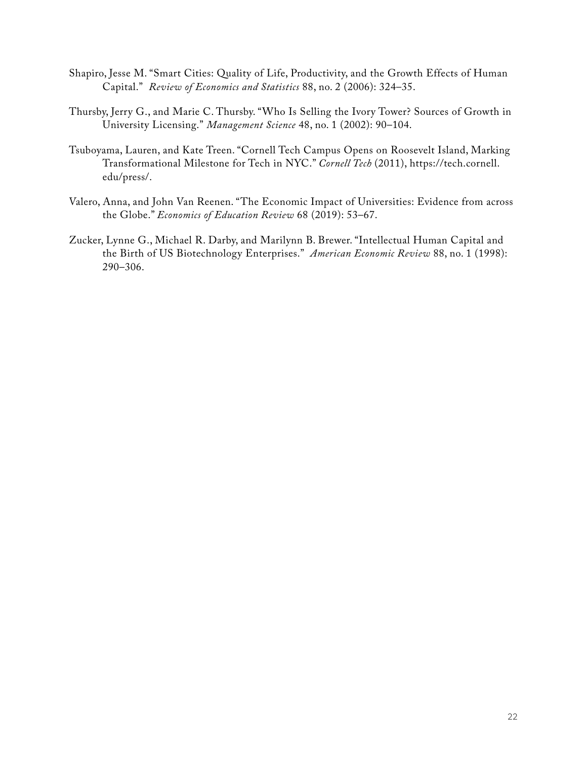- Shapiro, Jesse M. "Smart Cities: Quality of Life, Productivity, and the Growth Effects of Human Capital." *Review of Economics and Statistics* 88, no. 2 (2006): 324–35.
- Thursby, Jerry G., and Marie C. Thursby. "Who Is Selling the Ivory Tower? Sources of Growth in University Licensing." *Management Science* 48, no. 1 (2002): 90–104.
- Tsuboyama, Lauren, and Kate Treen. "Cornell Tech Campus Opens on Roosevelt Island, Marking Transformational Milestone for Tech in NYC." *Cornell Tech* (2011), [https://tech.cornell.](https://tech.cornell.edu/press/) [edu/press/.](https://tech.cornell.edu/press/)
- Valero, Anna, and John Van Reenen. "The Economic Impact of Universities: Evidence from across the Globe." *Economics of Education Review* 68 (2019): 53–67.
- Zucker, Lynne G., Michael R. Darby, and Marilynn B. Brewer. "Intellectual Human Capital and the Birth of US Biotechnology Enterprises." *American Economic Review* 88, no. 1 (1998): 290–306.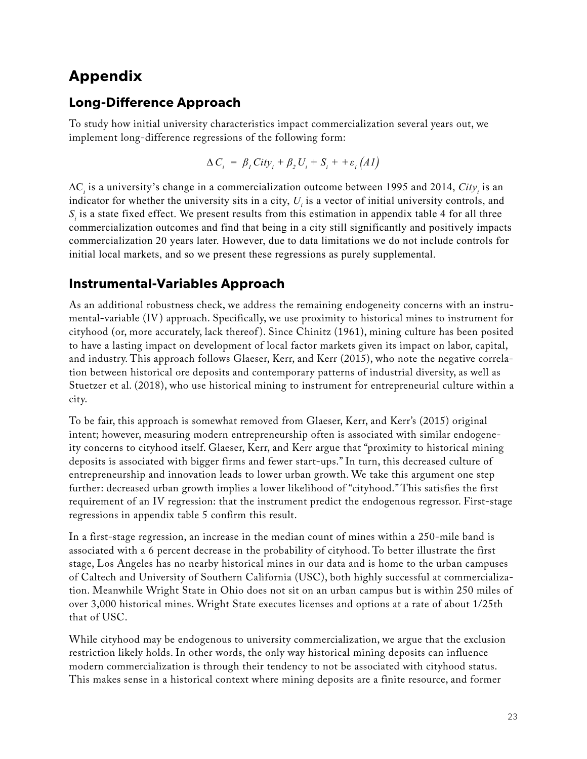### **Appendix**

#### **Long-Difference Approach**

To study how initial university characteristics impact commercialization several years out, we implement long-difference regressions of the following form:

$$
\Delta C_i = \beta_i City_i + \beta_2 U_i + S_i + + \varepsilon_i (A1)
$$

 $\Delta C_i$  is a university's change in a commercialization outcome between 1995 and 2014,  $City_i$  is an indicator for whether the university sits in a city,  $U_i$  is a vector of initial university controls, and  $S<sub>i</sub>$  is a state fixed effect. We present results from this estimation in appendix table 4 for all three commercialization outcomes and find that being in a city still significantly and positively impacts commercialization 20 years later. However, due to data limitations we do not include controls for initial local markets, and so we present these regressions as purely supplemental.

#### **Instrumental-Variables Approach**

As an additional robustness check, we address the remaining endogeneity concerns with an instrumental-variable (IV) approach. Specifically, we use proximity to historical mines to instrument for cityhood (or, more accurately, lack thereof ). Since Chinitz (1961), mining culture has been posited to have a lasting impact on development of local factor markets given its impact on labor, capital, and industry. This approach follows Glaeser, Kerr, and Kerr (2015), who note the negative correlation between historical ore deposits and contemporary patterns of industrial diversity, as well as Stuetzer et al. (2018), who use historical mining to instrument for entrepreneurial culture within a city.

To be fair, this approach is somewhat removed from Glaeser, Kerr, and Kerr's (2015) original intent; however, measuring modern entrepreneurship often is associated with similar endogeneity concerns to cityhood itself. Glaeser, Kerr, and Kerr argue that "proximity to historical mining deposits is associated with bigger firms and fewer start-ups." In turn, this decreased culture of entrepreneurship and innovation leads to lower urban growth. We take this argument one step further: decreased urban growth implies a lower likelihood of "cityhood." This satisfies the first requirement of an IV regression: that the instrument predict the endogenous regressor. First-stage regressions in appendix table 5 confirm this result.

In a first-stage regression, an increase in the median count of mines within a 250-mile band is associated with a 6 percent decrease in the probability of cityhood. To better illustrate the first stage, Los Angeles has no nearby historical mines in our data and is home to the urban campuses of Caltech and University of Southern California (USC), both highly successful at commercialization. Meanwhile Wright State in Ohio does not sit on an urban campus but is within 250 miles of over 3,000 historical mines. Wright State executes licenses and options at a rate of about 1/25th that of USC.

While cityhood may be endogenous to university commercialization, we argue that the exclusion restriction likely holds. In other words, the only way historical mining deposits can influence modern commercialization is through their tendency to not be associated with cityhood status. This makes sense in a historical context where mining deposits are a finite resource, and former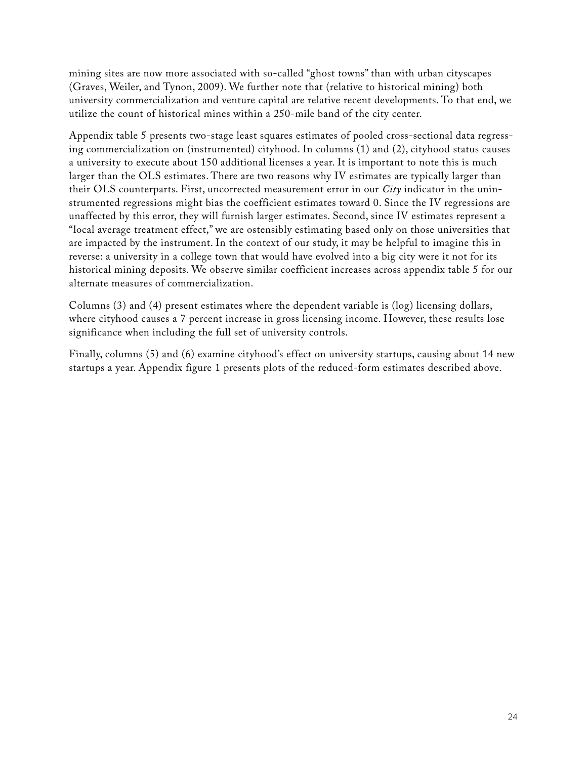mining sites are now more associated with so-called "ghost towns" than with urban cityscapes (Graves, Weiler, and Tynon, 2009). We further note that (relative to historical mining) both university commercialization and venture capital are relative recent developments. To that end, we utilize the count of historical mines within a 250-mile band of the city center.

Appendix table 5 presents two-stage least squares estimates of pooled cross-sectional data regressing commercialization on (instrumented) cityhood. In columns (1) and (2), cityhood status causes a university to execute about 150 additional licenses a year. It is important to note this is much larger than the OLS estimates. There are two reasons why IV estimates are typically larger than their OLS counterparts. First, uncorrected measurement error in our *City* indicator in the uninstrumented regressions might bias the coefficient estimates toward 0. Since the IV regressions are unaffected by this error, they will furnish larger estimates. Second, since IV estimates represent a "local average treatment effect," we are ostensibly estimating based only on those universities that are impacted by the instrument. In the context of our study, it may be helpful to imagine this in reverse: a university in a college town that would have evolved into a big city were it not for its historical mining deposits. We observe similar coefficient increases across appendix table 5 for our alternate measures of commercialization.

Columns (3) and (4) present estimates where the dependent variable is (log) licensing dollars, where cityhood causes a 7 percent increase in gross licensing income. However, these results lose significance when including the full set of university controls.

Finally, columns (5) and (6) examine cityhood's effect on university startups, causing about 14 new startups a year. Appendix figure 1 presents plots of the reduced-form estimates described above.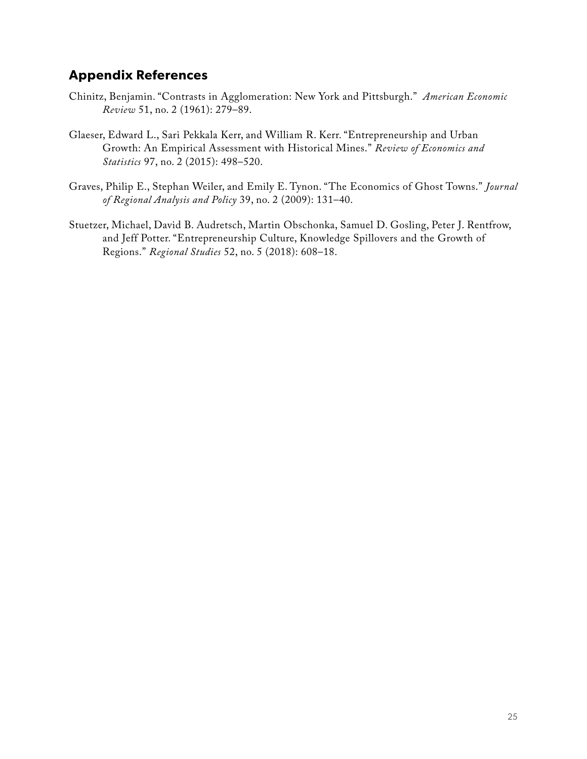#### **Appendix References**

- Chinitz, Benjamin. "Contrasts in Agglomeration: New York and Pittsburgh." *American Economic Review* 51, no. 2 (1961): 279–89.
- Glaeser, Edward L., Sari Pekkala Kerr, and William R. Kerr. "Entrepreneurship and Urban Growth: An Empirical Assessment with Historical Mines." *Review of Economics and Statistics* 97, no. 2 (2015): 498–520.
- Graves, Philip E., Stephan Weiler, and Emily E. Tynon. "The Economics of Ghost Towns." *Journal of Regional Analysis and Policy* 39, no. 2 (2009): 131–40.
- Stuetzer, Michael, David B. Audretsch, Martin Obschonka, Samuel D. Gosling, Peter J. Rentfrow, and Jeff Potter. "Entrepreneurship Culture, Knowledge Spillovers and the Growth of Regions." *Regional Studies* 52, no. 5 (2018): 608–18.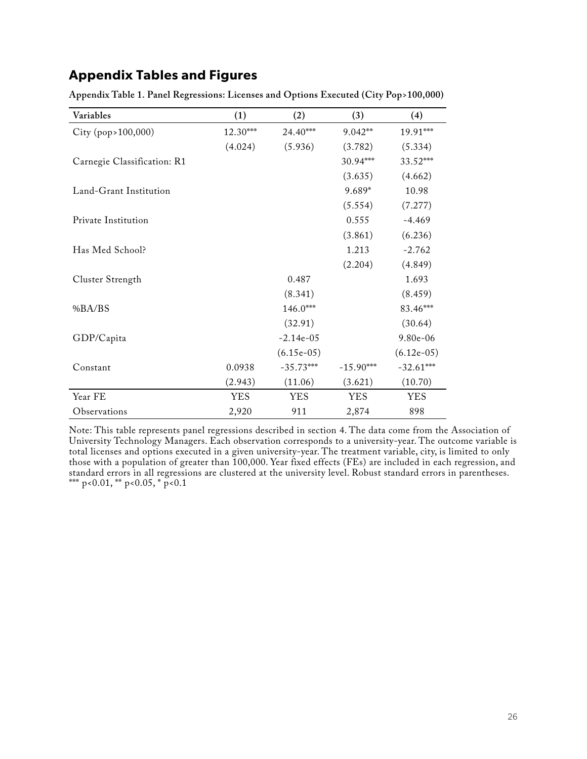#### **Appendix Tables and Figures**

| Variables                   | (1)        | (2)          | (3)         | (4)          |
|-----------------------------|------------|--------------|-------------|--------------|
| City (pop>100,000)          | 12.30***   | 24.40***     | 9.042**     | 19.91***     |
|                             | (4.024)    | (5.936)      | (3.782)     | (5.334)      |
| Carnegie Classification: R1 |            |              | 30.94***    | 33.52***     |
|                             |            |              | (3.635)     | (4.662)      |
| Land-Grant Institution      |            |              | 9.689*      | 10.98        |
|                             |            |              | (5.554)     | (7.277)      |
| Private Institution         |            |              | 0.555       | $-4.469$     |
|                             |            |              | (3.861)     | (6.236)      |
| Has Med School?             |            |              | 1.213       | $-2.762$     |
|                             |            |              | (2.204)     | (4.849)      |
| Cluster Strength            |            | 0.487        |             | 1.693        |
|                             |            | (8.341)      |             | (8.459)      |
| %BA/BS                      |            | 146.0***     |             | 83.46***     |
|                             |            | (32.91)      |             | (30.64)      |
| GDP/Capita                  |            | $-2.14e-05$  |             | 9.80e-06     |
|                             |            | $(6.15e-05)$ |             | $(6.12e-05)$ |
| Constant                    | 0.0938     | $-35.73***$  | $-15.90***$ | $-32.61***$  |
|                             | (2.943)    | (11.06)      | (3.621)     | (10.70)      |
| Year FE                     | <b>YES</b> | <b>YES</b>   | <b>YES</b>  | <b>YES</b>   |
| Observations                | 2,920      | 911          | 2,874       | 898          |

**Appendix Table 1. Panel Regressions: Licenses and Options Executed (City Pop>100,000)**

Note: This table represents panel regressions described in section 4. The data come from the Association of University Technology Managers. Each observation corresponds to a university-year. The outcome variable is total licenses and options executed in a given university-year. The treatment variable, city, is limited to only those with a population of greater than 100,000. Year fixed effects (FEs) are included in each regression, and standard errors in all regressions are clustered at the university level. Robust standard errors in parentheses. \*\*\* p<0.01, \*\* p<0.05, \* p<0.1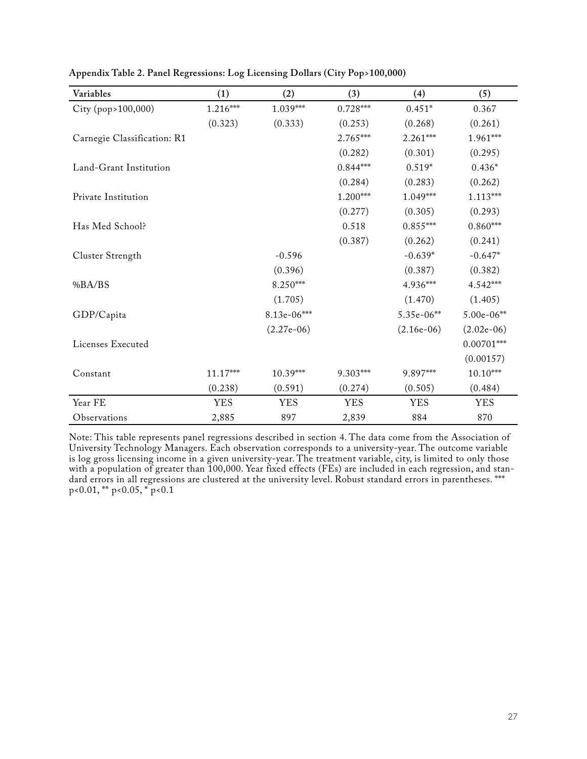| Variables                   | (1)        | (2)          | (3)        | (4)          | (5)          |
|-----------------------------|------------|--------------|------------|--------------|--------------|
| City (pop>100,000)          | 1.216***   | 1.039***     | $0.728***$ | $0.451*$     | 0.367        |
|                             | (0.323)    | (0.333)      | (0.253)    | (0.268)      | (0.261)      |
| Carnegie Classification: R1 |            |              | 2.765***   | $2.261***$   | $1.961***$   |
|                             |            |              | (0.282)    | (0.301)      | (0.295)      |
| Land-Grant Institution      |            |              | $0.844***$ | $0.519*$     | $0.436*$     |
|                             |            |              | (0.284)    | (0.283)      | (0.262)      |
| Private Institution         |            |              | 1.200***   | $1.049***$   | $1.113***$   |
|                             |            |              | (0.277)    | (0.305)      | (0.293)      |
| Has Med School?             |            |              | 0.518      | $0.855***$   | $0.860***$   |
|                             |            |              | (0.387)    | (0.262)      | (0.241)      |
| Cluster Strength            |            | $-0.596$     |            | $-0.639*$    | $-0.647*$    |
|                             |            | (0.396)      |            | (0.387)      | (0.382)      |
| %BA/BS                      |            | 8.250***     |            | 4.936***     | 4.542***     |
|                             |            | (1.705)      |            | (1.470)      | (1.405)      |
| GDP/Capita                  |            | 8.13e-06***  |            | 5.35e-06**   | $5.00e-06**$ |
|                             |            | $(2.27e-06)$ |            | $(2.16e-06)$ | $(2.02e-06)$ |
| Licenses Executed           |            |              |            |              | $0.00701***$ |
|                             |            |              |            |              | (0.00157)    |
| Constant                    | $11.17***$ | $10.39***$   | 9.303***   | 9.897***     | $10.10***$   |
|                             | (0.238)    | (0.591)      | (0.274)    | (0.505)      | (0.484)      |
| Year FE                     | <b>YES</b> | <b>YES</b>   | <b>YES</b> | <b>YES</b>   | <b>YES</b>   |
| Observations                | 2,885      | 897          | 2,839      | 884          | 870          |

**Appendix Table 2. Panel Regressions: Log Licensing Dollars (City Pop>100,000)**

Note: This table represents panel regressions described in section 4. The data come from the Association of University Technology Managers. Each observation corresponds to a university-year. The outcome variable is log gross licensing income in a given university-year. The treatment variable, city, is limited to only those with a population of greater than 100,000. Year fixed effects (FEs) are included in each regression, and standard errors in all regressions are clustered at the university level. Robust standard errors in parentheses. \*\*\*  $p<0.01$ , \*\*  $p<0.05$ ,  $p<sub>o</sub>$   $p<0.1$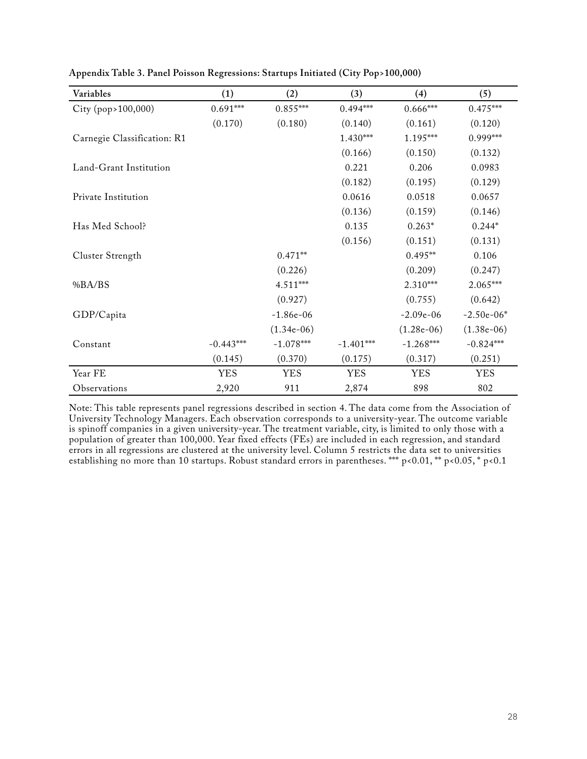| Variables                   | (1)         | (2)          | (3)         | (4)          | (5)          |
|-----------------------------|-------------|--------------|-------------|--------------|--------------|
| City (pop>100,000)          | $0.691***$  | $0.855***$   | $0.494***$  | $0.666***$   | $0.475***$   |
|                             | (0.170)     | (0.180)      | (0.140)     | (0.161)      | (0.120)      |
| Carnegie Classification: R1 |             |              | $1.430***$  | $1.195***$   | 0.999***     |
|                             |             |              | (0.166)     | (0.150)      | (0.132)      |
| Land-Grant Institution      |             |              | 0.221       | 0.206        | 0.0983       |
|                             |             |              | (0.182)     | (0.195)      | (0.129)      |
| Private Institution         |             |              | 0.0616      | 0.0518       | 0.0657       |
|                             |             |              | (0.136)     | (0.159)      | (0.146)      |
| Has Med School?             |             |              | 0.135       | $0.263*$     | $0.244*$     |
|                             |             |              | (0.156)     | (0.151)      | (0.131)      |
| Cluster Strength            |             | $0.471**$    |             | $0.495**$    | 0.106        |
|                             |             | (0.226)      |             | (0.209)      | (0.247)      |
| %BA/BS                      |             | 4.511***     |             | $2.310***$   | $2.065***$   |
|                             |             | (0.927)      |             | (0.755)      | (0.642)      |
| GDP/Capita                  |             | $-1.86e-06$  |             | $-2.09e-06$  | $-2.50e-06*$ |
|                             |             | $(1.34e-06)$ |             | $(1.28e-06)$ | $(1.38e-06)$ |
| Constant                    | $-0.443***$ | $-1.078***$  | $-1.401***$ | $-1.268***$  | $-0.824***$  |
|                             | (0.145)     | (0.370)      | (0.175)     | (0.317)      | (0.251)      |
| Year FE                     | <b>YES</b>  | <b>YES</b>   | <b>YES</b>  | <b>YES</b>   | <b>YES</b>   |
| Observations                | 2,920       | 911          | 2,874       | 898          | 802          |

**Appendix Table 3. Panel Poisson Regressions: Startups Initiated (City Pop>100,000)**

Note: This table represents panel regressions described in section 4. The data come from the Association of University Technology Managers. Each observation corresponds to a university-year. The outcome variable is spinoff companies in a given university-year. The treatment variable, city, is limited to only those with a population of greater than 100,000. Year fixed effects (FEs) are included in each regression, and standard errors in all regressions are clustered at the university level. Column 5 restricts the data set to universities establishing no more than 10 startups. Robust standard errors in parentheses. \*\*\* p<0.01, \*\* p<0.05, \* p<0.1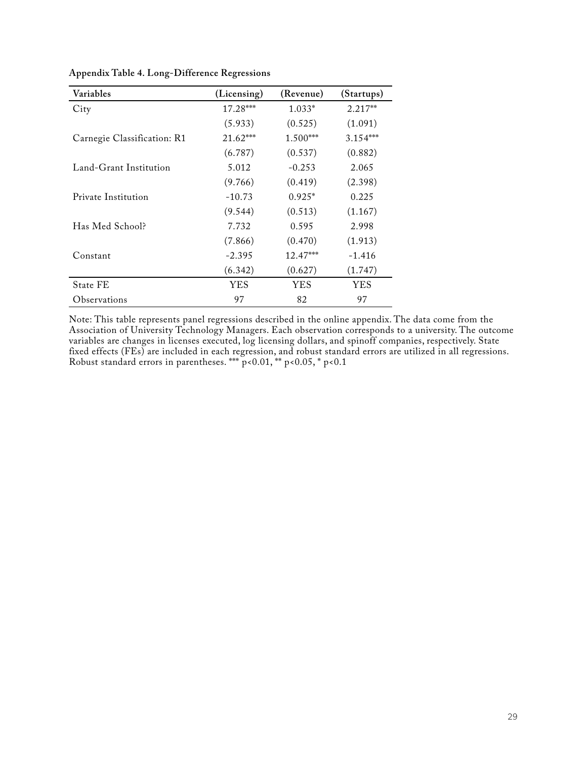| Variables                   | (Licensing) | (Revenue)  | (Startups) |
|-----------------------------|-------------|------------|------------|
| City                        | $17.28***$  | $1.033*$   | $2.217**$  |
|                             | (5.933)     | (0.525)    | (1.091)    |
| Carnegie Classification: R1 | $21.62***$  | $1.500***$ | $3.154***$ |
|                             | (6.787)     | (0.537)    | (0.882)    |
| Land-Grant Institution      | 5.012       | $-0.253$   | 2.065      |
|                             | (9.766)     | (0.419)    | (2.398)    |
| Private Institution         | $-10.73$    | $0.925*$   | 0.225      |
|                             | (9.544)     | (0.513)    | (1.167)    |
| Has Med School?             | 7.732       | 0.595      | 2.998      |
|                             | (7.866)     | (0.470)    | (1.913)    |
| Constant                    | $-2.395$    | $12.47***$ | $-1.416$   |
|                             | (6.342)     | (0.627)    | (1.747)    |
| <b>State FE</b>             | <b>YES</b>  | <b>YES</b> | <b>YES</b> |
| Observations                | 97          | 82         | 97         |

**Appendix Table 4. Long-Difference Regressions**

Note: This table represents panel regressions described in the online appendix. The data come from the Association of University Technology Managers. Each observation corresponds to a university. The outcome variables are changes in licenses executed, log licensing dollars, and spinoff companies, respectively. State fixed effects (FEs) are included in each regression, and robust standard errors are utilized in all regressions. Robust standard errors in parentheses. \*\*\* p<0.01, \*\* p<0.05, \* p<0.1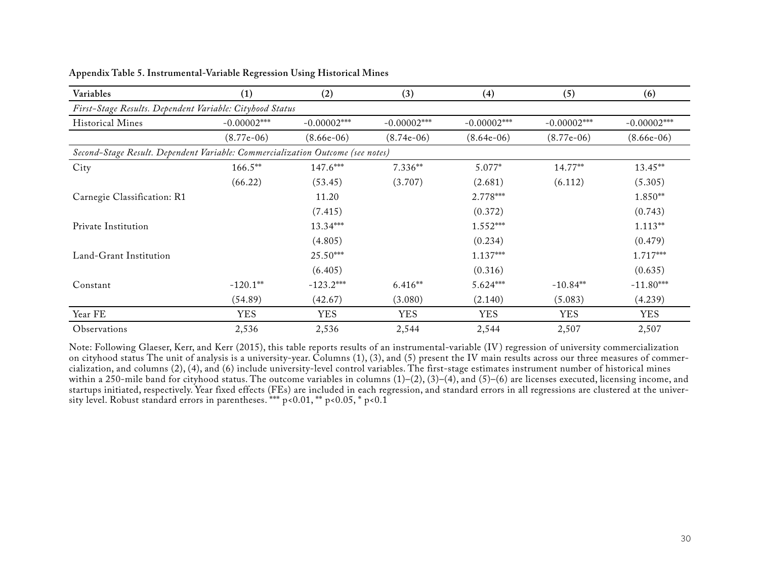| Variables                                                                      | (1)           | (2)           | (3)           | (4)           | (5)           | (6)           |
|--------------------------------------------------------------------------------|---------------|---------------|---------------|---------------|---------------|---------------|
| First-Stage Results. Dependent Variable: Cityhood Status                       |               |               |               |               |               |               |
| <b>Historical Mines</b>                                                        | $-0.00002***$ | $-0.00002***$ | $-0.00002***$ | $-0.00002***$ | $-0.00002***$ | $-0.00002***$ |
|                                                                                | $(8.77e-06)$  | $(8.66e-06)$  | $(8.74e-06)$  | $(8.64e-06)$  | $(8.77e-06)$  | $(8.66e-06)$  |
| Second-Stage Result. Dependent Variable: Commercialization Outcome (see notes) |               |               |               |               |               |               |
| City                                                                           | $166.5***$    | 147.6***      | $7.336**$     | 5.077*        | 14.77**       | 13.45**       |
|                                                                                | (66.22)       | (53.45)       | (3.707)       | (2.681)       | (6.112)       | (5.305)       |
| Carnegie Classification: R1                                                    |               | 11.20         |               | 2.778***      |               | 1.850**       |
|                                                                                |               | (7.415)       |               | (0.372)       |               | (0.743)       |
| Private Institution                                                            |               | 13.34***      |               | $1.552***$    |               | $1.113**$     |
|                                                                                |               | (4.805)       |               | (0.234)       |               | (0.479)       |
| Land-Grant Institution                                                         |               | 25.50***      |               | 1.137***      |               | 1.717***      |
|                                                                                |               | (6.405)       |               | (0.316)       |               | (0.635)       |
| Constant                                                                       | $-120.1**$    | $-123.2***$   | $6.416**$     | 5.624***      | $-10.84**$    | $-11.80***$   |
|                                                                                | (54.89)       | (42.67)       | (3.080)       | (2.140)       | (5.083)       | (4.239)       |
| Year FE                                                                        | <b>YES</b>    | <b>YES</b>    | <b>YES</b>    | <b>YES</b>    | <b>YES</b>    | <b>YES</b>    |
| Observations                                                                   | 2,536         | 2,536         | 2,544         | 2,544         | 2,507         | 2,507         |

**Appendix Table 5. Instrumental-Variable Regression Using Historical Mines**

Note: Following Glaeser, Kerr, and Kerr (2015), this table reports results of an instrumental-variable (IV) regression of university commercialization on cityhood status The unit of analysis is a university-year. Columns (1), (3), and (5) present the IV main results across our three measures of commercialization, and columns (2), (4), and (6) include university-level control variables. The first-stage estimates instrument number of historical mines within a 250-mile band for cityhood status. The outcome variables in columns (1)–(2), (3)–(4), and (5)–(6) are licenses executed, licensing income, and startups initiated, respectively. Year fixed effects (FEs) are included in each regression, and standard errors in all regressions are clustered at the university level. Robust standard errors in parentheses. \*\*\* p<0.01, \*\* p<0.05, \* p<0.1